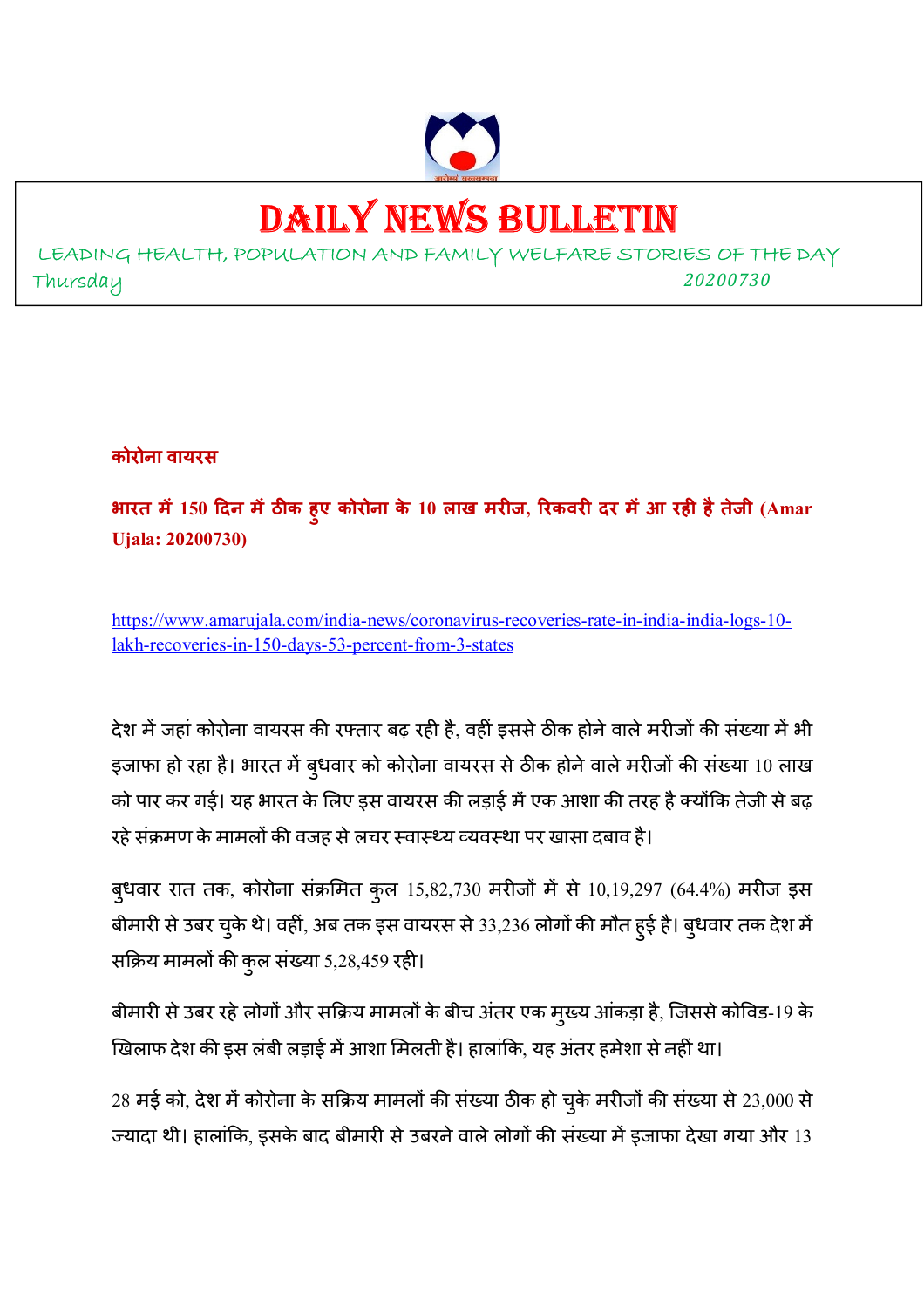

# DAILY NEWS BULLETIN

LEADING HEALTH, POPULATION AND FAMILY WELFARE STORIES OF THE DAY Thursday *<sup>20200730</sup>*

**कोरोना वायरस**

**भारत म 150 दन मठक हुए कोरोना के 10 लाख मरज, रकवर दर मआ रह हैतेजी (Amar Ujala: 20200730)** 

https://www.amarujala.com/india-news/coronavirus-recoveries-rate-in-india-india-logs-10 lakh-recoveries-in-150-days-53-percent-from-3-states

देश में जहां कोरोना वायरस की रफ्तार बढ़ रही है, वहीं इससे ठीक होने वाले मरीजों की संख्या में भी इजाफा हो रहा है। भारत में बुधवार को कोरोना वायरस से ठीक होने वाले मरीजों की संख्या 10 लाख को पार कर गई। यह भारत के लिए इस वायरस की लड़ाई में एक आशा की तरह है क्योंकि तेजी से बढ़ रहे संक्रमण के मामलों की वजह से लचर स्वास्थ्य व्यवस्था पर खासा दबाव है।

बुधवार रात तक, कोरोना संक्रमित कुल 15,82,730 मरीजों में से 10,19,297 (64.4%) मरीज इस बीमारी से उबर चुके थे। वहीं, अब तक इस वायरस से 33,236 लोगों की मौत हुई है। बुधवार तक देश में सक्रिय मामलों की कुल संख्या 5,28,459 रही।

बीमारी से उबर रहे लोगों और सक्रिय मामलों के बीच अंतर एक मुख्य आंकड़ा है, जिससे कोविड-19 के खिलाफ देश की इस लंबी लड़ाई में आशा मिलती है। हालांकि, यह अंतर हमेशा से नहीं था।

 $28$  मई को, देश में कोरोना के सक्रिय मामलों की संख्या ठीक हो चुके मरीजों की संख्या से  $23,000$  से ज्यादा थी। हालांकि, इसके बाद बीमारी से उबरने वाले लोगों की संख्या में इजाफा देखा गया और 13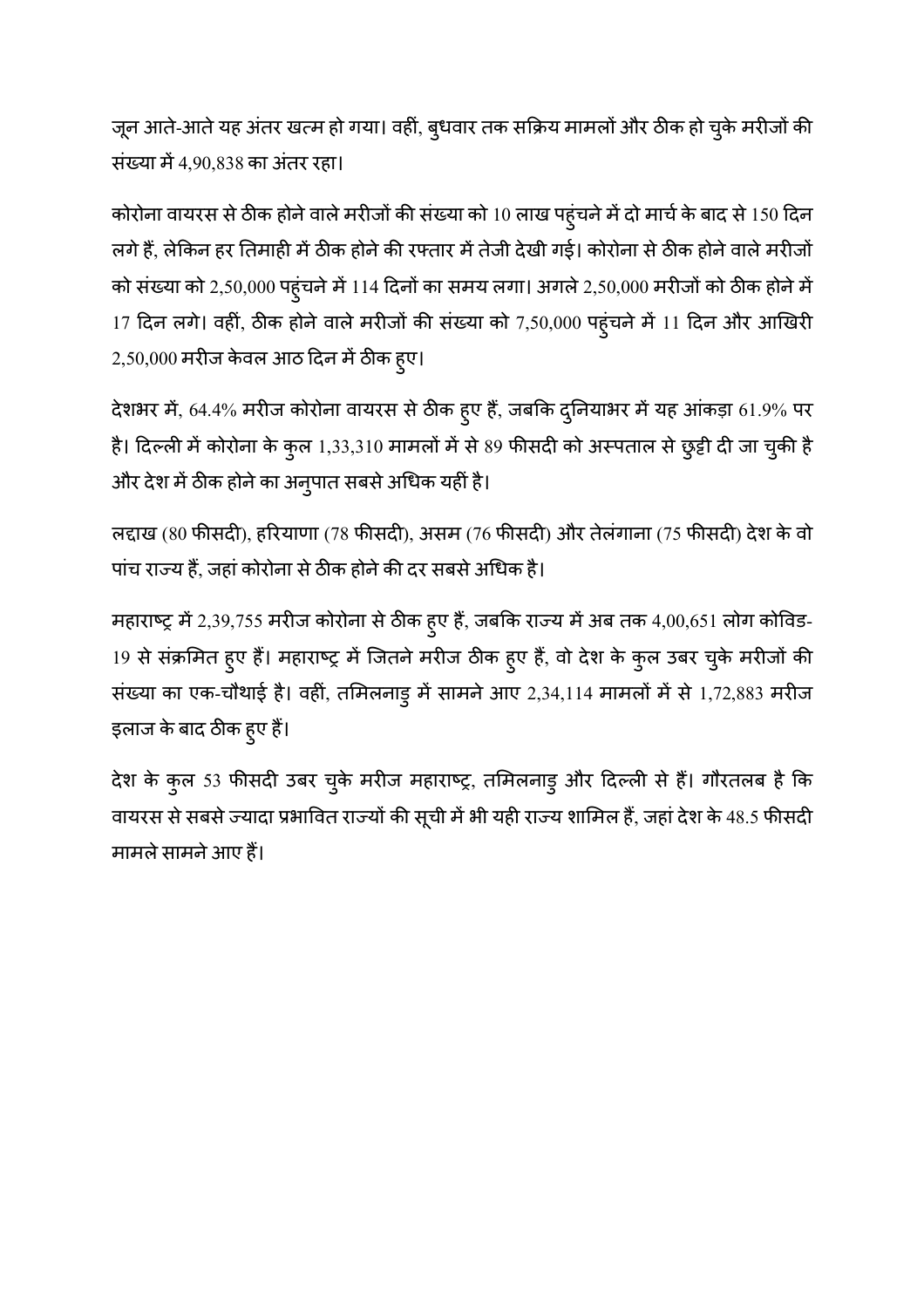जून आते-आते यह अंतर खत्म हो गया। वहीं, बुधवार तक सक्रिय मामलों और ठीक हो चुके मरीजों की संख्या में 4,90,838 का अंतर रहा।

कोरोना वायरस से ठीक होने वाले मरीजों की संख्या को 10 लाख पहुंचने में दो मार्च के बाद से 150 दिन लगे हैं, लेकिन हर तिमाही में ठीक होने की रफ्तार में तेजी देखी गई। कोरोना से ठीक होने वाले मरीजों को संख्या को 2,50,000 पहुंचने में 114 दिनों का समय लगा। अगले 2,50,000 मरीजों को ठीक होने में 17 दिन लगे। वहीं, ठीक होने वाले मरीजों की संख्या को 7,50,000 पहुंचने में 11 दिन और आखिरी  $2,50,000$  मरीज केवल आठ दिन में ठीक ह्ए।

देशभर में, 64.4% मरीज कोरोना वायरस से ठीक हुए हैं, जबकि दुनियाभर में यह आंकड़ा 61.9% पर है। दिल्ली में कोरोना के कुल 1,33,310 मामलों में से 89 फीसदी को अस्पताल से छुट्टी दी जा चुकी है और देश में ठीक होने का अनुपात सबसे अधिक यहीं है।

लद्दाख (80 फीसदी), हरियाणा (78 फीसदी), असम (76 फीसदी) और तेलंगाना (75 फीसदी) देश के वो पांच राज्य हैं, जहां कोरोना से ठीक होने की दर सबसे अधिक है।

महाराष्ट्र में 2,39,755 मरीज कोरोना से ठीक हुए हैं, जबकि राज्य में अब तक 4,00,651 लोग कोविड-19 से संक्रमित हुए हैं। महाराष्ट्र में जितने मरीज ठीक हुए हैं, वो देश के कुल उबर चुके मरीजों की संख्या का एक-चौथाई है। वहीं, तमिलनाड़ु में सामने आए 2,34,114 मामलों में से 1,72,883 मरीज इलाज के बाद ठीक हुए हैं।

देश के कुल 53 फीसदी उबर चुके मरीज महाराष्ट्र, तमिलनाडु और दिल्ली से हैं। गौरतलब है कि वायरस से सबसे ज्यादा प्रभावित राज्यों की सूची में भी यही राज्य शामिल हैं, जहां देश के 48.5 फीसदी मामले सामने आए हैं।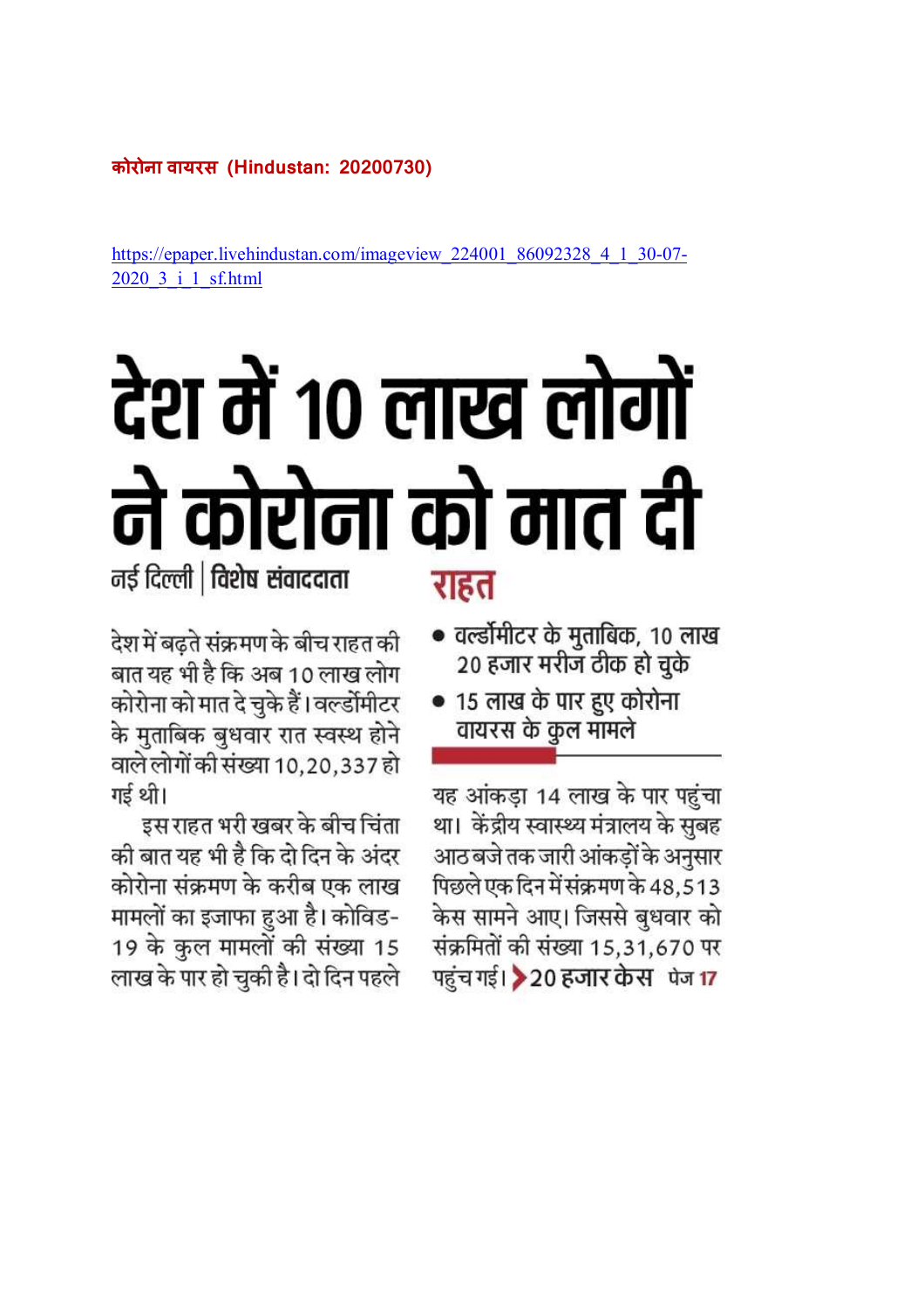# **कोरोना वायरस (Hindustan: 20200730)**

https://epaper.livehindustan.com/imageview\_224001\_86092328\_4\_1\_30-07-2020\_3\_i\_1\_sf.html

# देश में १० लाख लोगों ने कोरोना को मात दी

नई दिल्ली | विशेष संवाददाता

राहत

• वर्ल्डोमीटर के मुताबिक, 10 लाख 20 हजार मरीज ठीक हो चुके • 15 लाख के पार हुए कोरोना

वायरस के कुल मॉमले

यह आंकड़ा 14 लाख के पार पहुंचा था। केंद्रीय स्वास्थ्य मंत्रालय के सुबह आठ बजे तक जारी आंकडों के अनसार पिछले एक दिन में संक्रमण के 48,513 केस सामने आए। जिससे बुधवार को संक्रमितों की संख्या 15,31,670 पर पहुंच गई। ▶ 20 हजार केस पेज 17

देश में बढते संक्रमण के बीच राहत की बात यह भी है कि अब 10 लाख लोग कोरोना को मात दे चुके हैं। वल्डोंमीटर के मुताबिक बुधवार रात स्वस्थ होने वाले लोगों की संख्या 10,20,337 हो गई थी।

इस राहत भरी खबर के बीच चिंता की बात यह भी है कि दो दिन के अंदर कोरोना संक्रमण के करीब एक लाख मामलों का इजाफा हुआ है। कोविड-19 के कुल मामलों की संख्या 15 लाख के पार हो चुकी है। दो दिन पहले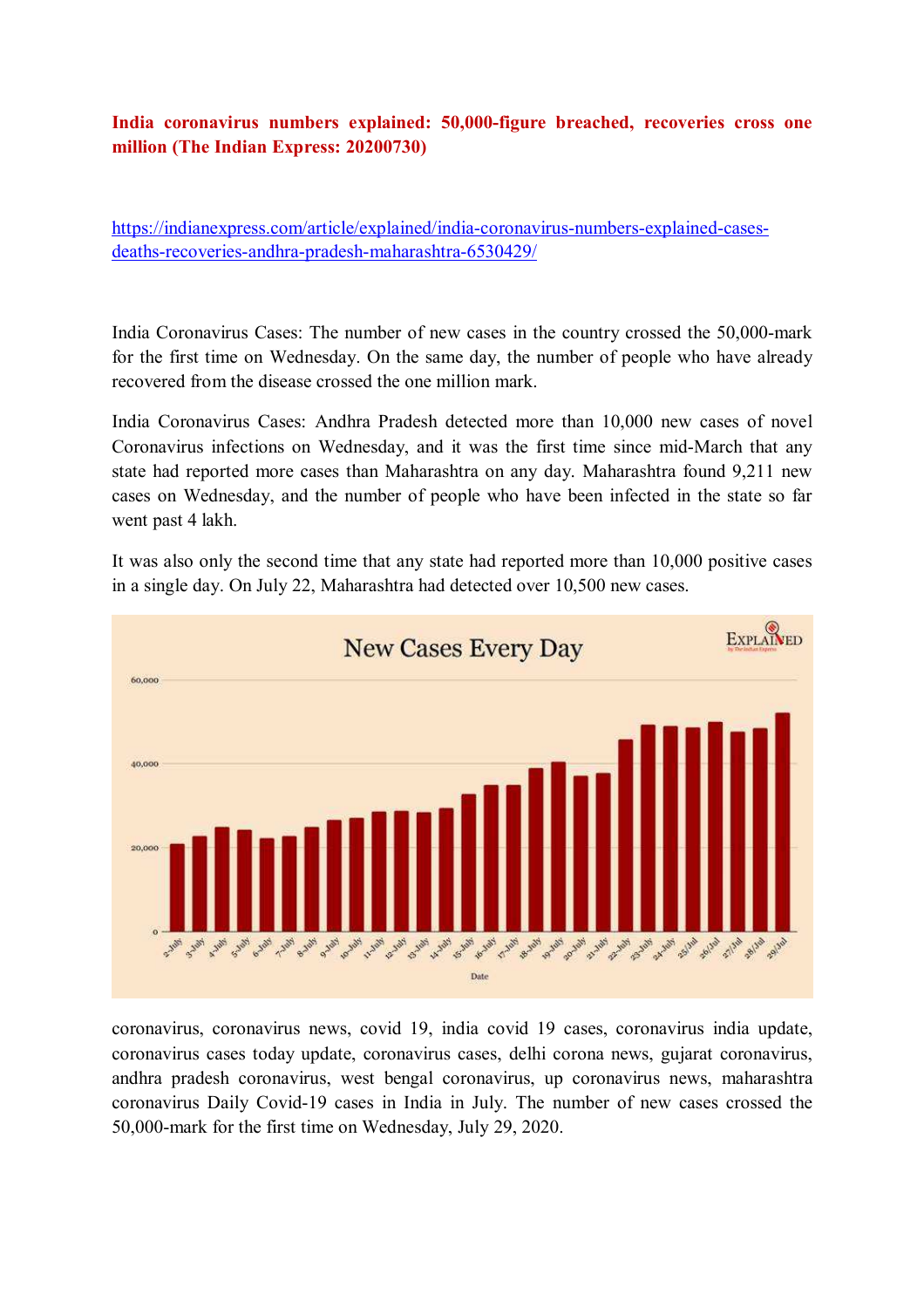# **India coronavirus numbers explained: 50,000-figure breached, recoveries cross one million (The Indian Express: 20200730)**

https://indianexpress.com/article/explained/india-coronavirus-numbers-explained-casesdeaths-recoveries-andhra-pradesh-maharashtra-6530429/

India Coronavirus Cases: The number of new cases in the country crossed the 50,000-mark for the first time on Wednesday. On the same day, the number of people who have already recovered from the disease crossed the one million mark.

India Coronavirus Cases: Andhra Pradesh detected more than 10,000 new cases of novel Coronavirus infections on Wednesday, and it was the first time since mid-March that any state had reported more cases than Maharashtra on any day. Maharashtra found 9,211 new cases on Wednesday, and the number of people who have been infected in the state so far went past 4 lakh.

It was also only the second time that any state had reported more than 10,000 positive cases in a single day. On July 22, Maharashtra had detected over 10,500 new cases.



coronavirus, coronavirus news, covid 19, india covid 19 cases, coronavirus india update, coronavirus cases today update, coronavirus cases, delhi corona news, gujarat coronavirus, andhra pradesh coronavirus, west bengal coronavirus, up coronavirus news, maharashtra coronavirus Daily Covid-19 cases in India in July. The number of new cases crossed the 50,000-mark for the first time on Wednesday, July 29, 2020.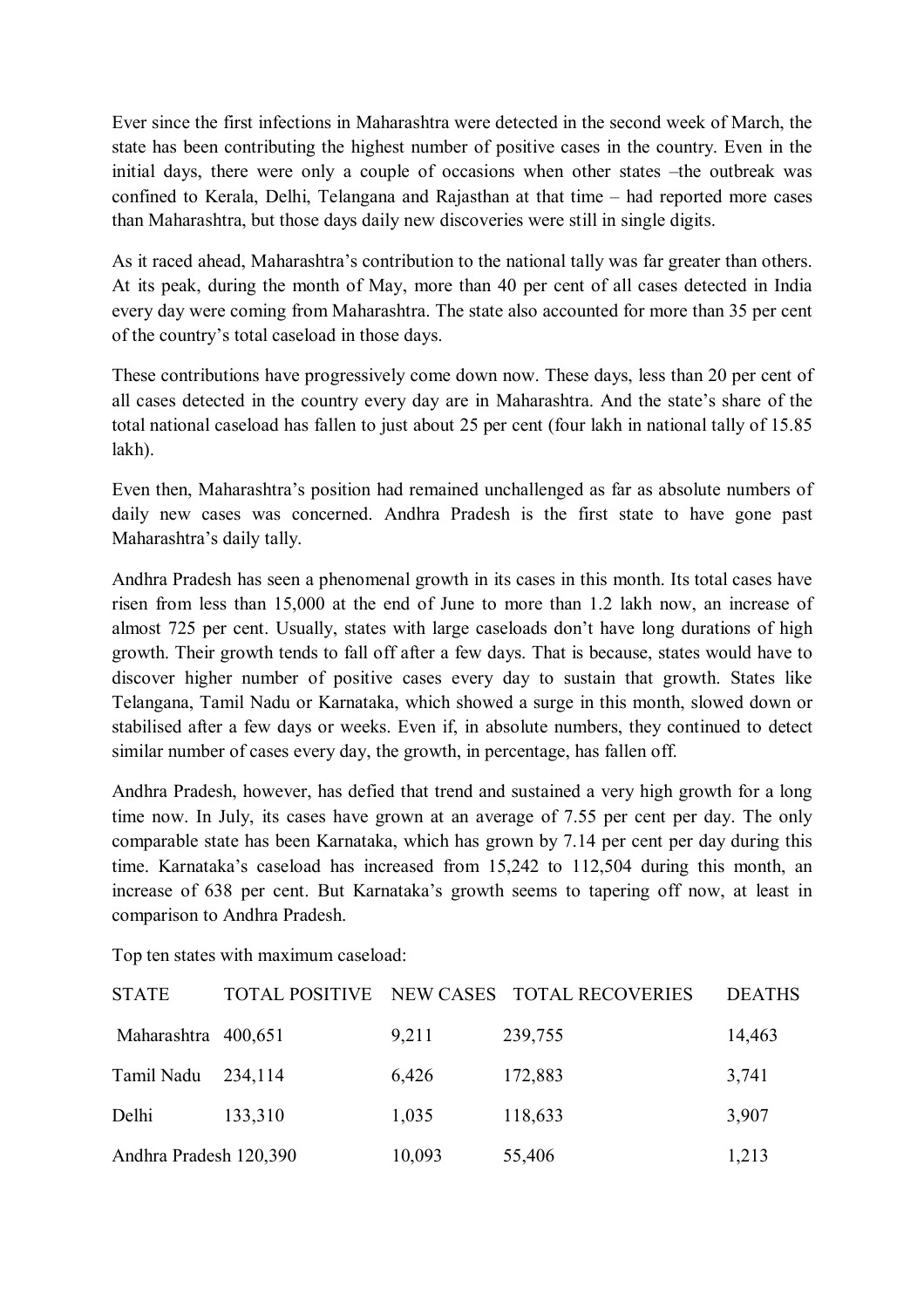Ever since the first infections in Maharashtra were detected in the second week of March, the state has been contributing the highest number of positive cases in the country. Even in the initial days, there were only a couple of occasions when other states –the outbreak was confined to Kerala, Delhi, Telangana and Rajasthan at that time – had reported more cases than Maharashtra, but those days daily new discoveries were still in single digits.

As it raced ahead, Maharashtra's contribution to the national tally was far greater than others. At its peak, during the month of May, more than 40 per cent of all cases detected in India every day were coming from Maharashtra. The state also accounted for more than 35 per cent of the country's total caseload in those days.

These contributions have progressively come down now. These days, less than 20 per cent of all cases detected in the country every day are in Maharashtra. And the state's share of the total national caseload has fallen to just about 25 per cent (four lakh in national tally of 15.85 lakh).

Even then, Maharashtra's position had remained unchallenged as far as absolute numbers of daily new cases was concerned. Andhra Pradesh is the first state to have gone past Maharashtra's daily tally.

Andhra Pradesh has seen a phenomenal growth in its cases in this month. Its total cases have risen from less than 15,000 at the end of June to more than 1.2 lakh now, an increase of almost 725 per cent. Usually, states with large caseloads don't have long durations of high growth. Their growth tends to fall off after a few days. That is because, states would have to discover higher number of positive cases every day to sustain that growth. States like Telangana, Tamil Nadu or Karnataka, which showed a surge in this month, slowed down or stabilised after a few days or weeks. Even if, in absolute numbers, they continued to detect similar number of cases every day, the growth, in percentage, has fallen off.

Andhra Pradesh, however, has defied that trend and sustained a very high growth for a long time now. In July, its cases have grown at an average of 7.55 per cent per day. The only comparable state has been Karnataka, which has grown by 7.14 per cent per day during this time. Karnataka's caseload has increased from 15,242 to 112,504 during this month, an increase of 638 per cent. But Karnataka's growth seems to tapering off now, at least in comparison to Andhra Pradesh.

Top ten states with maximum caseload:

| <b>STATE</b>           |         |        | TOTAL POSITIVE NEW CASES TOTAL RECOVERIES | <b>DEATHS</b> |
|------------------------|---------|--------|-------------------------------------------|---------------|
| Maharashtra 400,651    |         | 9,211  | 239,755                                   | 14,463        |
| Tamil Nadu             | 234,114 | 6,426  | 172,883                                   | 3,741         |
| Delhi                  | 133,310 | 1,035  | 118,633                                   | 3,907         |
| Andhra Pradesh 120,390 |         | 10,093 | 55,406                                    | 1,213         |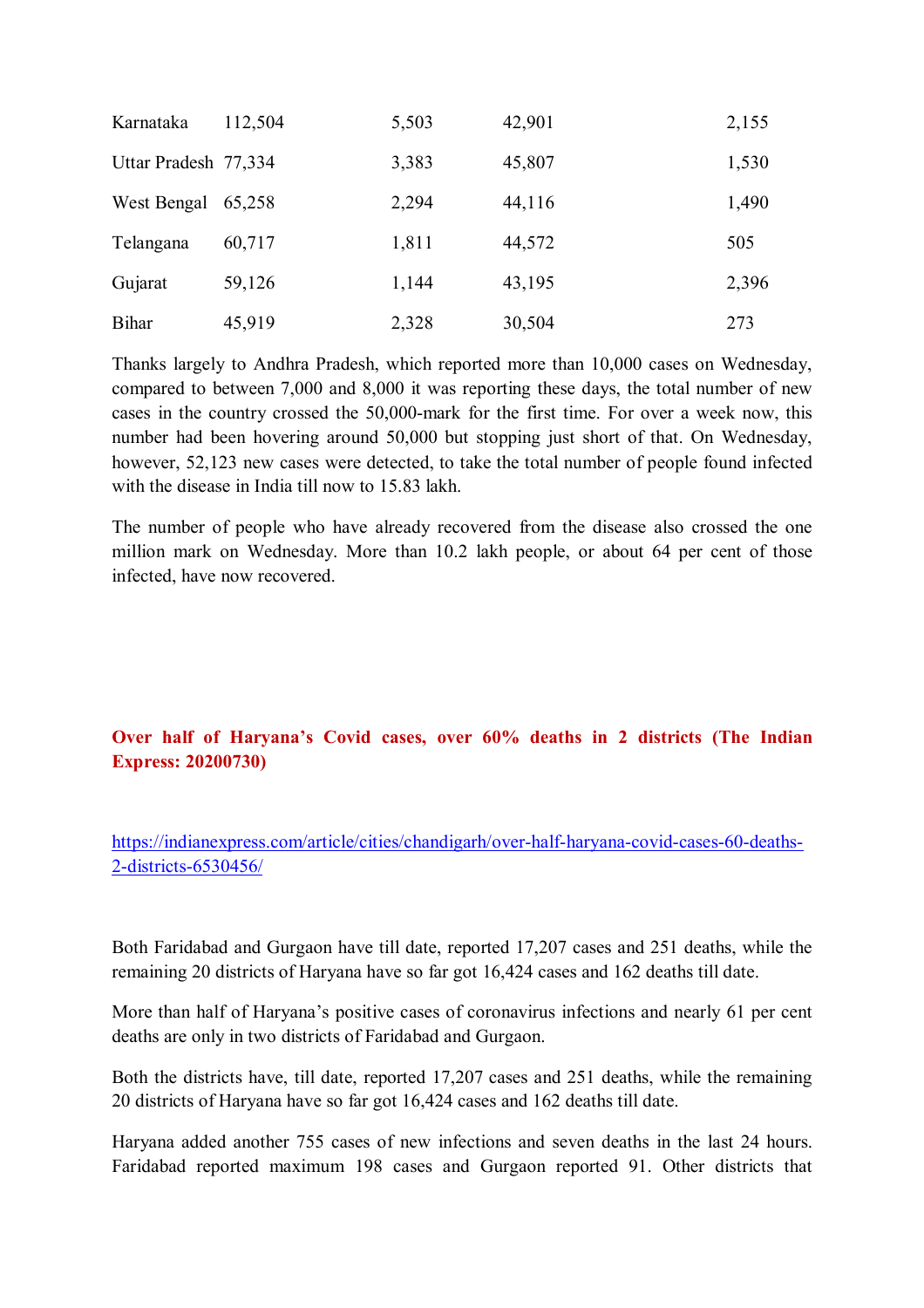| Karnataka            | 112,504 | 5,503 | 42,901 | 2,155 |
|----------------------|---------|-------|--------|-------|
| Uttar Pradesh 77,334 |         | 3,383 | 45,807 | 1,530 |
| West Bengal          | 65,258  | 2,294 | 44,116 | 1,490 |
| Telangana            | 60,717  | 1,811 | 44,572 | 505   |
| Gujarat              | 59,126  | 1,144 | 43,195 | 2,396 |
| <b>Bihar</b>         | 45,919  | 2,328 | 30,504 | 273   |

Thanks largely to Andhra Pradesh, which reported more than 10,000 cases on Wednesday, compared to between 7,000 and 8,000 it was reporting these days, the total number of new cases in the country crossed the 50,000-mark for the first time. For over a week now, this number had been hovering around 50,000 but stopping just short of that. On Wednesday, however, 52,123 new cases were detected, to take the total number of people found infected with the disease in India till now to 15.83 lakh.

The number of people who have already recovered from the disease also crossed the one million mark on Wednesday. More than 10.2 lakh people, or about 64 per cent of those infected, have now recovered.

# **Over half of Haryana's Covid cases, over 60% deaths in 2 districts (The Indian Express: 20200730)**

https://indianexpress.com/article/cities/chandigarh/over-half-haryana-covid-cases-60-deaths-2-districts-6530456/

Both Faridabad and Gurgaon have till date, reported 17,207 cases and 251 deaths, while the remaining 20 districts of Haryana have so far got 16,424 cases and 162 deaths till date.

More than half of Haryana's positive cases of coronavirus infections and nearly 61 per cent deaths are only in two districts of Faridabad and Gurgaon.

Both the districts have, till date, reported 17,207 cases and 251 deaths, while the remaining 20 districts of Haryana have so far got 16,424 cases and 162 deaths till date.

Haryana added another 755 cases of new infections and seven deaths in the last 24 hours. Faridabad reported maximum 198 cases and Gurgaon reported 91. Other districts that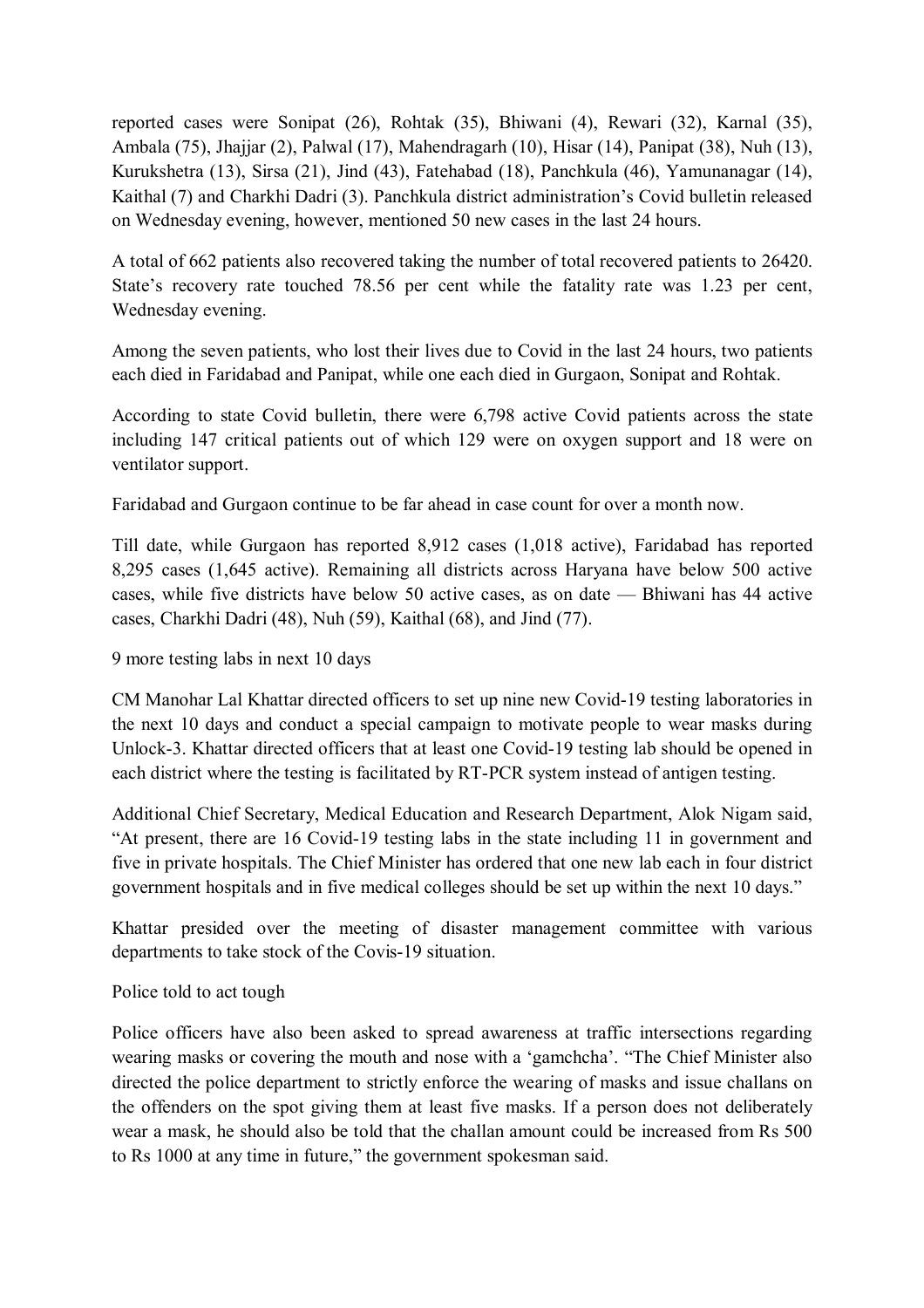reported cases were Sonipat (26), Rohtak (35), Bhiwani (4), Rewari (32), Karnal (35), Ambala (75), Jhajjar (2), Palwal (17), Mahendragarh (10), Hisar (14), Panipat (38), Nuh (13), Kurukshetra (13), Sirsa (21), Jind (43), Fatehabad (18), Panchkula (46), Yamunanagar (14), Kaithal (7) and Charkhi Dadri (3). Panchkula district administration's Covid bulletin released on Wednesday evening, however, mentioned 50 new cases in the last 24 hours.

A total of 662 patients also recovered taking the number of total recovered patients to 26420. State's recovery rate touched 78.56 per cent while the fatality rate was 1.23 per cent, Wednesday evening.

Among the seven patients, who lost their lives due to Covid in the last 24 hours, two patients each died in Faridabad and Panipat, while one each died in Gurgaon, Sonipat and Rohtak.

According to state Covid bulletin, there were 6,798 active Covid patients across the state including 147 critical patients out of which 129 were on oxygen support and 18 were on ventilator support.

Faridabad and Gurgaon continue to be far ahead in case count for over a month now.

Till date, while Gurgaon has reported 8,912 cases (1,018 active), Faridabad has reported 8,295 cases (1,645 active). Remaining all districts across Haryana have below 500 active cases, while five districts have below 50 active cases, as on date — Bhiwani has 44 active cases, Charkhi Dadri (48), Nuh (59), Kaithal (68), and Jind (77).

9 more testing labs in next 10 days

CM Manohar Lal Khattar directed officers to set up nine new Covid-19 testing laboratories in the next 10 days and conduct a special campaign to motivate people to wear masks during Unlock-3. Khattar directed officers that at least one Covid-19 testing lab should be opened in each district where the testing is facilitated by RT-PCR system instead of antigen testing.

Additional Chief Secretary, Medical Education and Research Department, Alok Nigam said, "At present, there are 16 Covid-19 testing labs in the state including 11 in government and five in private hospitals. The Chief Minister has ordered that one new lab each in four district government hospitals and in five medical colleges should be set up within the next 10 days."

Khattar presided over the meeting of disaster management committee with various departments to take stock of the Covis-19 situation.

Police told to act tough

Police officers have also been asked to spread awareness at traffic intersections regarding wearing masks or covering the mouth and nose with a 'gamchcha'. "The Chief Minister also directed the police department to strictly enforce the wearing of masks and issue challans on the offenders on the spot giving them at least five masks. If a person does not deliberately wear a mask, he should also be told that the challan amount could be increased from Rs 500 to Rs 1000 at any time in future," the government spokesman said.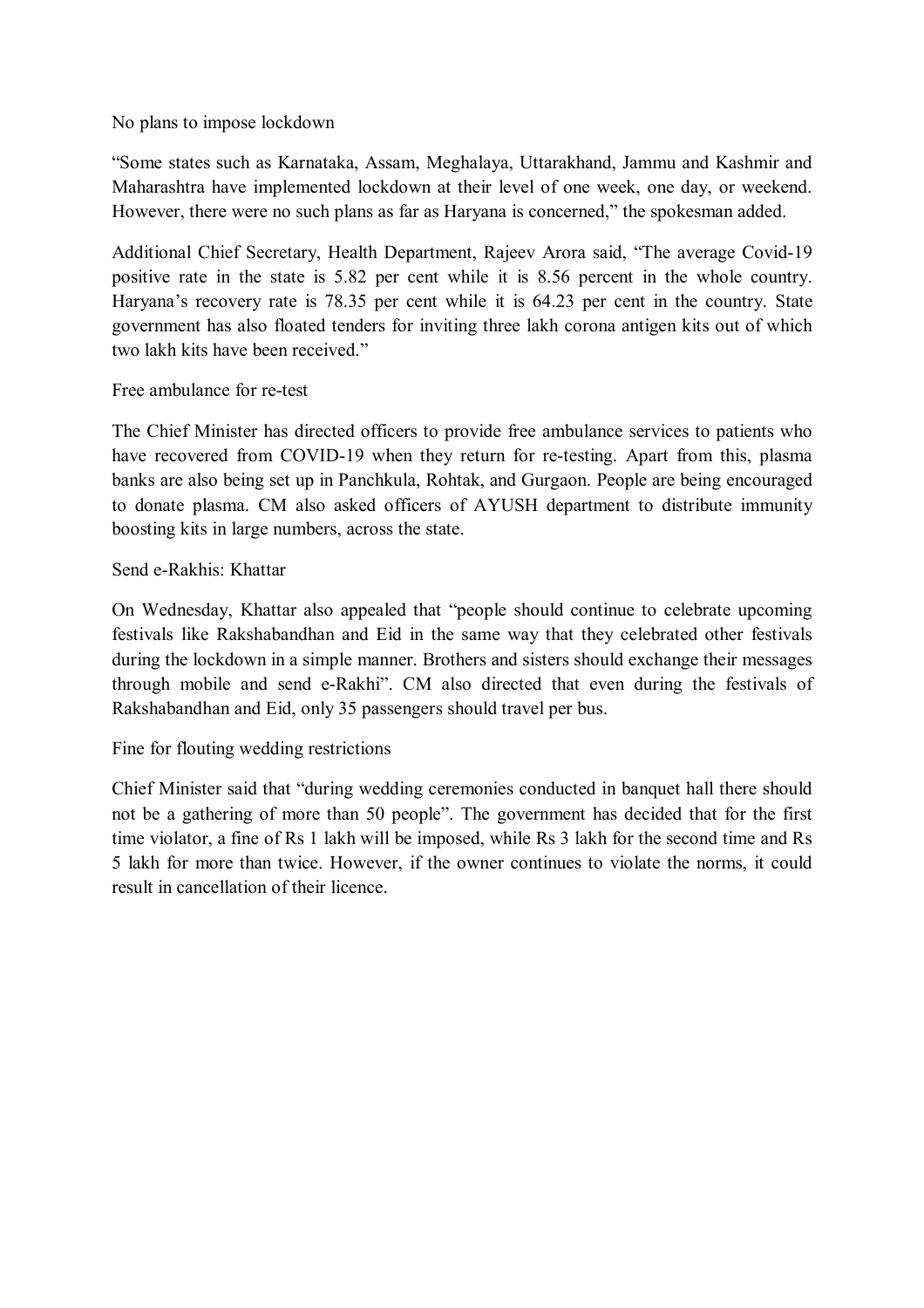No plans to impose lockdown

"Some states such as Karnataka, Assam, Meghalaya, Uttarakhand, Jammu and Kashmir and Maharashtra have implemented lockdown at their level of one week, one day, or weekend. However, there were no such plans as far as Haryana is concerned," the spokesman added.

Additional Chief Secretary, Health Department, Rajeev Arora said, "The average Covid-19 positive rate in the state is 5.82 per cent while it is 8.56 percent in the whole country. Haryana's recovery rate is 78.35 per cent while it is 64.23 per cent in the country. State government has also floated tenders for inviting three lakh corona antigen kits out of which two lakh kits have been received."

## Free ambulance for re-test

The Chief Minister has directed officers to provide free ambulance services to patients who have recovered from COVID-19 when they return for re-testing. Apart from this, plasma banks are also being set up in Panchkula, Rohtak, and Gurgaon. People are being encouraged to donate plasma. CM also asked officers of AYUSH department to distribute immunity boosting kits in large numbers, across the state.

# Send e-Rakhis: Khattar

On Wednesday, Khattar also appealed that "people should continue to celebrate upcoming festivals like Rakshabandhan and Eid in the same way that they celebrated other festivals during the lockdown in a simple manner. Brothers and sisters should exchange their messages through mobile and send e-Rakhi". CM also directed that even during the festivals of Rakshabandhan and Eid, only 35 passengers should travel per bus.

Fine for flouting wedding restrictions

Chief Minister said that "during wedding ceremonies conducted in banquet hall there should not be a gathering of more than 50 people". The government has decided that for the first time violator, a fine of Rs 1 lakh will be imposed, while Rs 3 lakh for the second time and Rs 5 lakh for more than twice. However, if the owner continues to violate the norms, it could result in cancellation of their licence.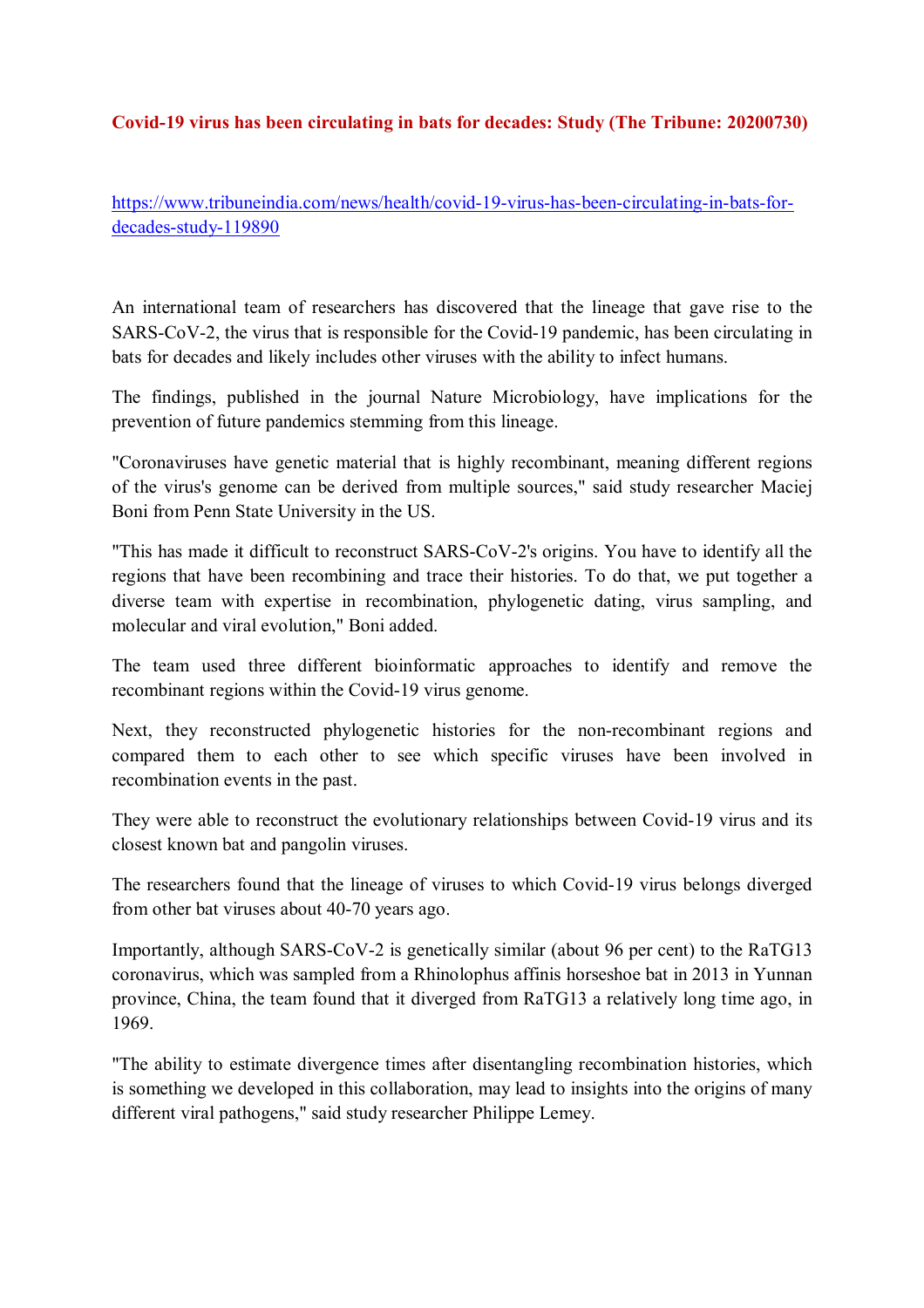## **Covid-19 virus has been circulating in bats for decades: Study (The Tribune: 20200730)**

https://www.tribuneindia.com/news/health/covid-19-virus-has-been-circulating-in-bats-fordecades-study-119890

An international team of researchers has discovered that the lineage that gave rise to the SARS-CoV-2, the virus that is responsible for the Covid-19 pandemic, has been circulating in bats for decades and likely includes other viruses with the ability to infect humans.

The findings, published in the journal Nature Microbiology, have implications for the prevention of future pandemics stemming from this lineage.

"Coronaviruses have genetic material that is highly recombinant, meaning different regions of the virus's genome can be derived from multiple sources," said study researcher Maciej Boni from Penn State University in the US.

"This has made it difficult to reconstruct SARS-CoV-2's origins. You have to identify all the regions that have been recombining and trace their histories. To do that, we put together a diverse team with expertise in recombination, phylogenetic dating, virus sampling, and molecular and viral evolution," Boni added.

The team used three different bioinformatic approaches to identify and remove the recombinant regions within the Covid-19 virus genome.

Next, they reconstructed phylogenetic histories for the non-recombinant regions and compared them to each other to see which specific viruses have been involved in recombination events in the past.

They were able to reconstruct the evolutionary relationships between Covid-19 virus and its closest known bat and pangolin viruses.

The researchers found that the lineage of viruses to which Covid-19 virus belongs diverged from other bat viruses about 40-70 years ago.

Importantly, although SARS-CoV-2 is genetically similar (about 96 per cent) to the RaTG13 coronavirus, which was sampled from a Rhinolophus affinis horseshoe bat in 2013 in Yunnan province, China, the team found that it diverged from RaTG13 a relatively long time ago, in 1969.

"The ability to estimate divergence times after disentangling recombination histories, which is something we developed in this collaboration, may lead to insights into the origins of many different viral pathogens," said study researcher Philippe Lemey.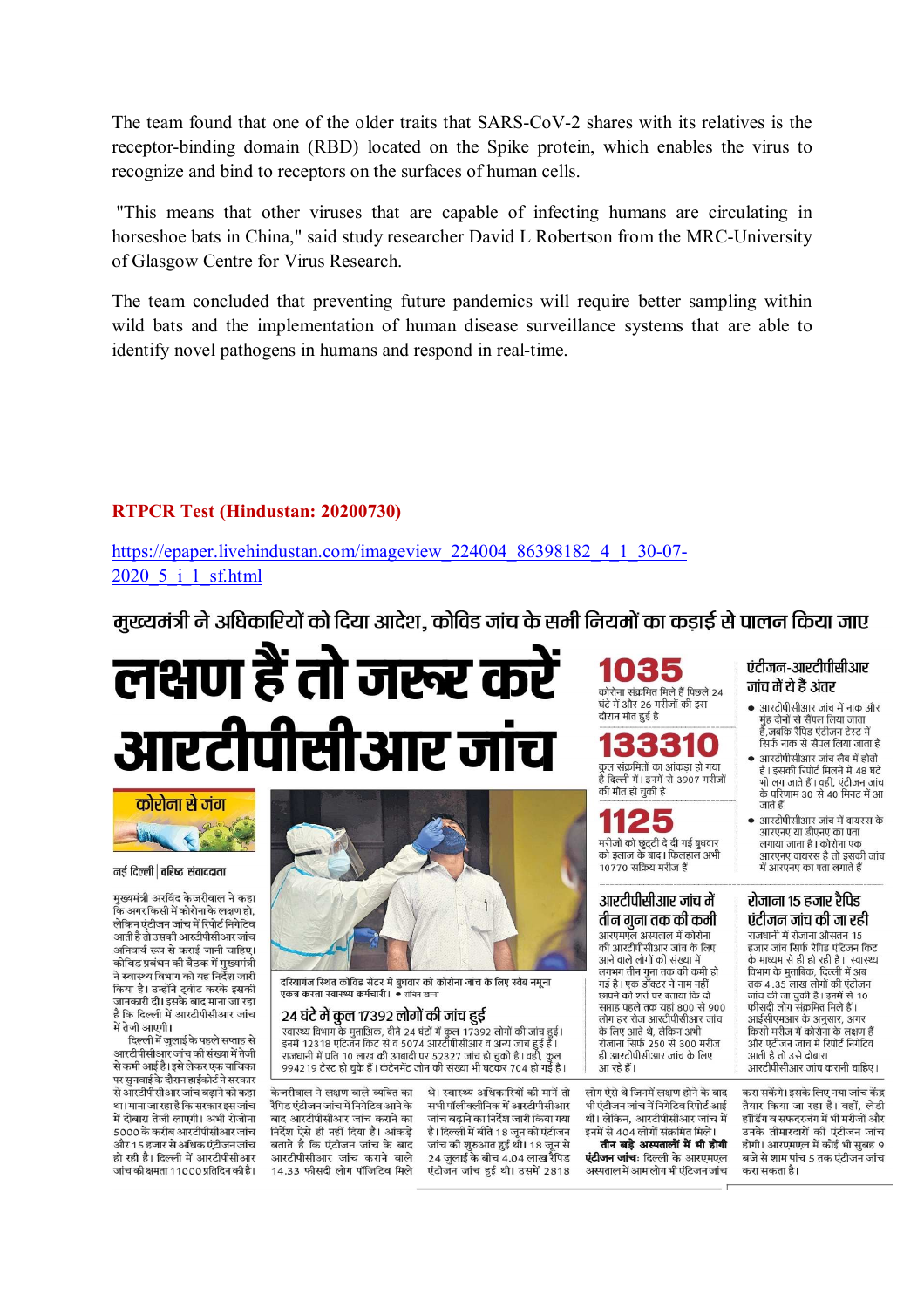The team found that one of the older traits that SARS-CoV-2 shares with its relatives is the receptor-binding domain (RBD) located on the Spike protein, which enables the virus to recognize and bind to receptors on the surfaces of human cells.

 "This means that other viruses that are capable of infecting humans are circulating in horseshoe bats in China," said study researcher David L Robertson from the MRC-University of Glasgow Centre for Virus Research.

The team concluded that preventing future pandemics will require better sampling within wild bats and the implementation of human disease surveillance systems that are able to identify novel pathogens in humans and respond in real-time.

# **RTPCR Test (Hindustan: 20200730)**

https://epaper.livehindustan.com/imageview\_224004\_86398182\_4\_1\_30-07- 2020 5 i 1 sf.html

मुख्यमंत्री ने अधिकारियों को दिया आदेश, कोविड जांच के सभी नियमों का कडाई से पालन किया जाए

# लक्षण हैं तो जरूर करें आरटीपीसीआर जांच



#### नई दिल्ली | वरिष्ट संवाददाता

मख्यमंत्री अरविंद केजरीवाल ने कहा ू<br>कि अगर किसी में कोरोना के लक्षण हो, .<br>लेकिन एंटीजन जांच में रिपोर्ट निगेटिव आती है तो उसकी आरटीपीसीआर जांच अनिवार्य रूप से कराई जानी चाहिए। <u>कोविड प्रबंधन की बैठक में मुख्यमंत्री</u> ने स्वास्थ्य विभाग को यह निर्देश जारी किया है। उन्होंने ट्वीट करके इसकी जानकारी दी। दसके बाद माना जा रहा है कि टिल्ली में आरटीपीसीआर जांच में तेजी आएगी।

आरटीपीसीआर जांच की संख्या में तेजी से कमी आई है। इसे लेकर एक याचिका पर सुनवाई के दौरान हाईकोर्ट ने सरकार से आरटीपीसीआर जांच बढ़ाने को कहा। था। माना जा रहा है कि सरकार इस जांच में टोबाग तेजी लाएगी। अभी गेजोना 5000 के करीब आरटीपीसीआर जांच और 15 हजार से अधिक एंटीजन जांच हो रही है। दिल्ली में आरटीपीसीआर जांच की क्षमता 11000 प्रतिदिन की है।



दरियागंज रिथत कोविड सेंटर में बुधवार को कोरोना जांच के लिए स्वैब नमूना 

#### 24 घंटे में कुल 17392 लोगों की जांच हुई

24 पट जा पुग्ला 17 372 लागा पन जांच छुए<br>स्वास्थ्य विभाग के मुताअिक, बीते 24 घंटों में कुल 17392 लोगों की जांच हुई।<br>इनमें 12318 एंटिजन किट से व 5074 आरटीपीसीआर व अन्य जांच हुई हैं । राजधानी में प्रति 10 लाख की आबादी पर 52327 जांच हो चुकी है। वहीं, कुल 994219 टेस्ट हो चुके हैं। कंटेनमेंट जोन की संख्या भी घटकर 704 हो गई है।

केजरीवाल ने लक्षण वाले व्यक्ति का रैपिड एंटीजन जांच में निगेटिव आने के बाट आरटीपीसीआर जांच कराने का निर्देश ऐसे ही नहीं दिया है। आंकड़े बताते है कि एंटीजन जांच के बाद आरटीपीसीआर जांच कराने वाले 14.33 फीसदी लोग पॉजिटिव मिले

थे। स्वास्थ्य अधिकारियों की मानें तो सभी पॉलीक्लीनिक में आरटीपीसीआर <u>जांच बढाने का निर्देश जारी किया गया</u> .<br>है। दिल्ली में बीते 18 जून को एंटीजन जांच की शुरुआत हुई थी। 18 जून से 24 जलाई के बीच 4.04 लाख रैपिड एंटीजन जांच हुई थी। उसमें 2818

कोरोना संक्रमित मिले हैं पिछले 24 घंटे में और 26 मरीजों की इस दौरान मौत हुई है



1125 मरीजों को छुटटी दे दी गई बुधवार को इलाज के बाद। फिलहाल अभी 10770 सक्रिय मरीज हैं

#### आरटीपीसीआर जांच में तीन गना तक की कमी

आरएमएल अस्पताल में कोरोना की आरटीपीसीआर जांच के लिए आने वाले लोगों की संख्या में लगभग तीन गुना तक की कमी हो गई है। एक डॉक्टर ने नाम नहीं छापने की शर्त पर बताया कि दो सप्ताह पहले तक यहां 800 से 900 रताह नहरा तक बेही ठँठेड रा २००<br>लोग हर रोज आरटीपीसीआर जांच के लिए आते थे लेकिन अभी क १९१९ आस प, राजक १ जन्म<br>रोजाना सिर्फ 250 से 300 मरीज ही आरटीपीसीआर जांच के लिए आ रहे हैं।

लोग ऐसे थे जिनमें लक्षण होने के बाद .<br>भी एंटीजन जांच में निगेटिव रिपोर्ट आई थी। लेकिन, आरटीपीसीआर जांच में इनमें से 404 लोगों संक्रमित मिले।

तीन बड़े अस्पतालों में भी होगी **पंटीजन जांच**: दिल्ली के आरएमएल .<br>अस्पताल में आम लोग भी एंटिजन जांच

#### एंटीजन-आरटीपीसीआर जांच में ये हैं अंतर

- आरटीपीसीआर जांच में नाक और डा :डा ::::::::::::::::::::::::::<br>मुंह दोनों से सैंपल लिया जाता हैं जबकि रैपिड एंटीजन टेस्ट में सिर्फ नाक से सैंपल लिया जाता है
- आरटीपीसीआर जांच लैब में होती है। इसकी रिपोर्ट मिलने में 48 घंटे .<br>भी लग जाते हैं । वहीं, एंटीजन जांच के परिणाम 30 से 40 मिनट में आ जाते हैं
- आरटीपीसीआर जांच में वायरस के आरएनए या डीएनए का पता लगाया जाता है। कोरोना एक .<br>आरएनए वायरस है तो इसकी जांच में आरएनए का पता लगाते हैं

#### रोजाना १५ हजार रैपिड एंटीजन जांच की जा रही

.<br>राजधानी में रोजाना औसतन 15 हजार जांच सिर्फ रैपिड एंटिजन किट .<br>के माध्यम से ही हो रही है। स्वास्थ्य विभाग के मुताबिक, दिल्ली में अब तक 4 .35 लाख लोगों की एंटीजन तार १९८५ मा जामा गए।<br>जांच की जा चुकी है। इनमें से 10 फीसदी लोग संक्रमित मिले हैं। आईसीएमआर के अनुसार, अगर कार् मा , काम में कोरोना के लक्षण हैं<br>किसी मरीज में कोरोना के लक्षण हैं त्य सा गरीबा में सिर्गा में स्थान है।<br>और एंटीजन जांच में रिपोर्ट निगेटिव आती है तो उसे दोबारा आरटीपीसीआर जांच करानी चाहिए।

करा सकेंगे। इसके लिए नया जांच केंद तैयार किया जा रहा है। वहीं लेडी हॉर्डिंग व सफटरलंग में भी मरीलों और .<br>उनके तीमारदारों की एंटीजन जांच होगी। आरएमएल में कोई भी सबह 9 बजे से शाम पांच 5 तक एंटीजन जांच करा सकता है।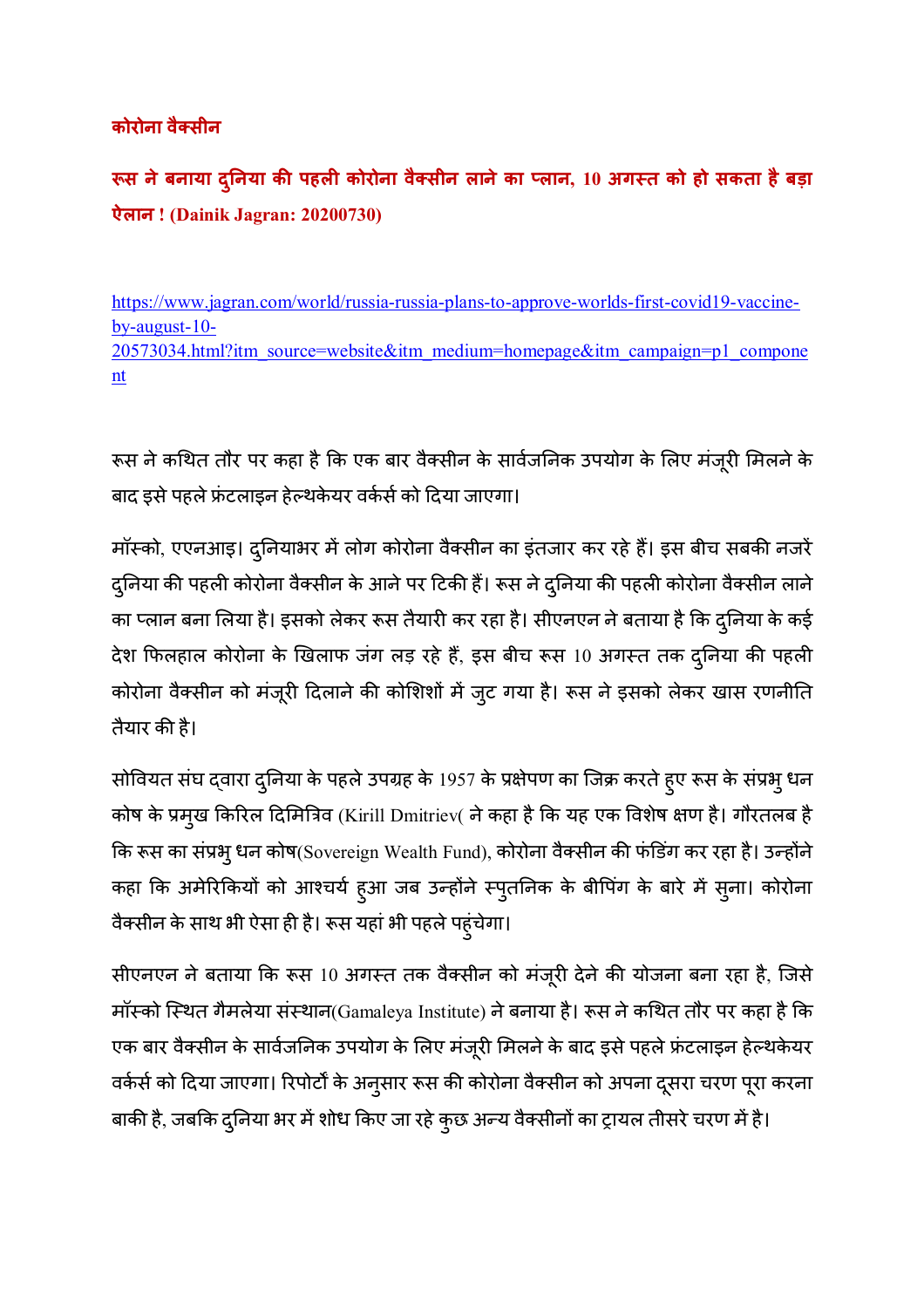# **कोरोना वै-सीन**

**.स नेबनाया द0नया ु क1 पहल कोरोना वै-सीन लानेका 3लान, 10 अग6त को हो सकता हैबड़ा ऐलान ! (Dainik Jagran: 20200730)** 

https://www.jagran.com/world/russia-russia-plans-to-approve-worlds-first-covid19-vaccineby-august-10- 20573034.html?itm\_source=website&itm\_medium=homepage&itm\_campaign=p1\_compone nt

रूस ने कथित तौर पर कहा है कि एक बार वैक्सीन के सार्वजनिक उपयोग के लिए मंजूरी मिलने के बाद इसे पहले फ्रंटलाइन हेल्थकेयर वर्कर्स को दिया जाएगा।

मॉस्को, एएनआइ। दुनियाभर में लोग कोरोना वैक्सीन का इंतजार कर रहे हैं। इस बीच सबकी नजरें दुनिया की पहली कोरोना वैक्सीन के आने पर टिकी हैं। रूस ने दुनिया की पहली कोरोना वैक्सीन लाने का प्लान बना लिया है। इसको लेकर रूस तैयारी कर रहा है। सीएनएन ने बताया है कि दुनिया के कई देश फिलहाल कोरोना के खिलाफ जंग लड़ रहे हैं, इस बीच रूस 10 अगस्त तक दुनिया की पहली कोरोना वैक्सीन को मंजूरी दिलाने की कोशिशों में जुट गया है। रूस ने इसको लेकर खास रणनीति तैयार की है।

सोवियत संघ द्वारा दुनिया के पहले उपग्रह के 1957 के प्रक्षेपण का जिक्र करते हुए रूस के संप्रभु धन कोष के प्रमुख किरिल दिमित्रिव (Kirill Dmitriev( ने कहा है कि यह एक विशेष क्षण है। गौरतलब है कि रूस का संप्रभु धन कोष(Sovereign Wealth Fund), कोरोना वैक्सीन की फंडिंग कर रहा है। उन्होंने कहा कि अमेरिकियों को आश्चर्य हुआ जब उन्होंने स्पुतनिक के बीपिंग के बारे में सुना। कोरोना वैक्सीन के साथ भी ऐसा ही है। रूस यहां भी पहले पहुंचेगा।

सीएनएन ने बताया कि रूस 10 अगस्त तक वैक्सीन को मंजूरी देने की योजना बना रहा है, जिसे मॉस्को स्थित गैमलेया संस्थान(Gamaleya Institute) ने बनाया है। रूस ने कथित तौर पर कहा है कि एक बार वैक्सीन के सार्वजनिक उपयोग के लिए मंजूरी मिलने के बाद इसे पहले फ्रंटलाइन हेल्थकेयर वर्कर्स को दिया जाएगा। रिपोर्टों के अनुसार रूस की कोरोना वैक्सीन को अपना दूसरा चरण पूरा करना बाकी है, जबकि दुनिया भर में शोध किए जा रहे कुछ अन्य वैक्सीनों का ट्रायल तीसरे चरण में है।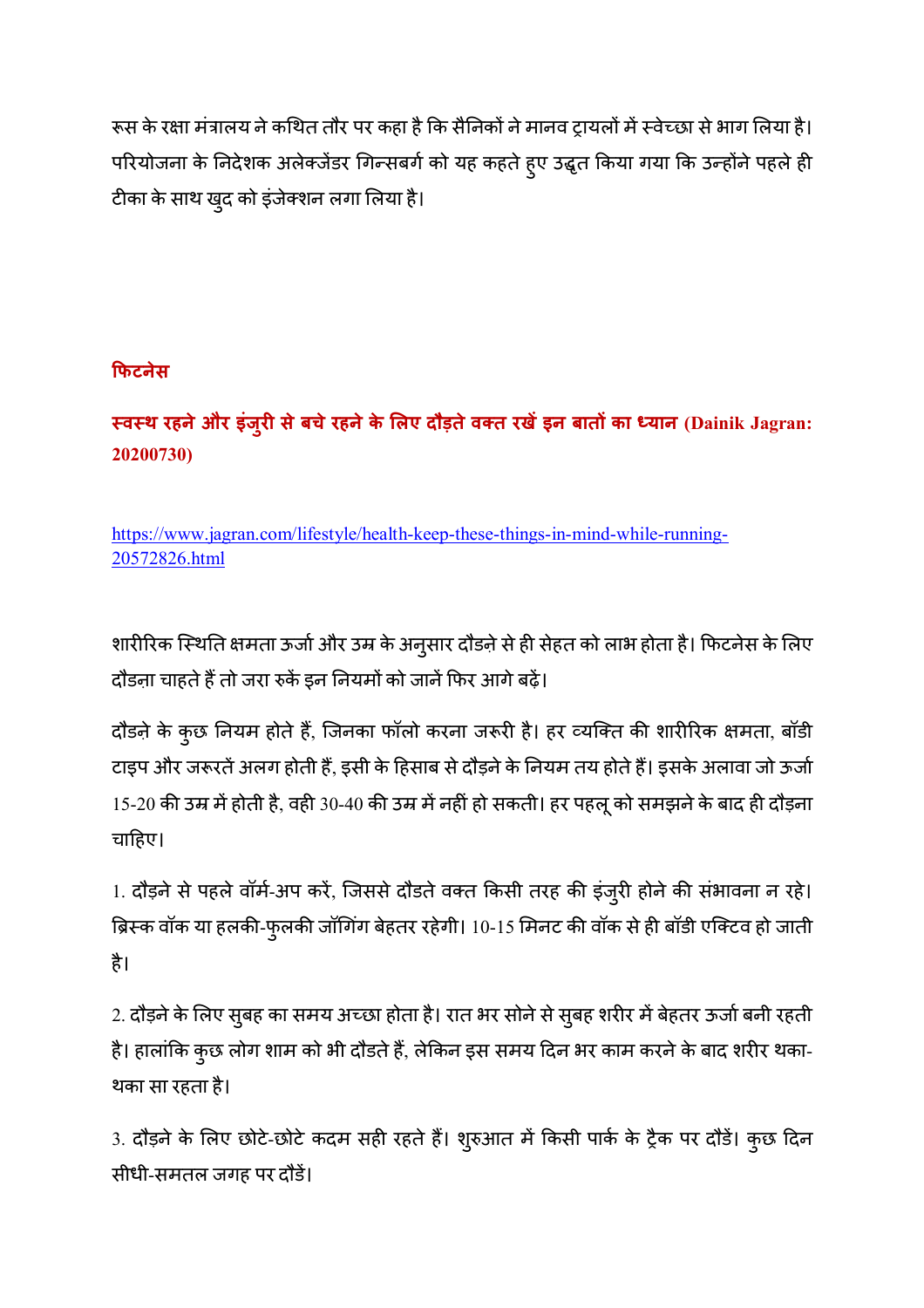रूस के रक्षा मंत्रालय ने कथित तौर पर कहा है कि सैनिकों ने मानव ट्रायलों में स्वेच्छा से भाग लिया है। परियोजना के निदेशक अलेक्जेंडर गिन्सबर्ग को यह कहते हुए उद्धृत किया गया कि उन्होंने पहले ही टीका के साथ खुद को इंजेक्शन लगा लिया है।

# **9फटनेस**

# **6व6थ रहनेऔर इंजुर सेबचेरहनेके Aलए दौड़तेव-त रखइन बातC का Dयान (Dainik Jagran: 20200730)**

https://www.jagran.com/lifestyle/health-keep-these-things-in-mind-while-running-20572826.html

शारीरिक स्थिति क्षमता ऊर्जा और उम्र के अनुसार दौड़ने से ही सेहत को लाभ होता है। फिटनेस के लिए दौड़ना चाहते हैं तो जरा रुकें इन नियमों को जानें फिर आगे बढ़ें।

दौड़ने के कुछ नियम होते हैं, जिनका फॉलो करना जरूरी है। हर व्यक्ति की शारीरिक क्षमता, बॉडी टाइप और जरूरतें अलग होती हैं, इसी के हिसाब से दौड़ने के नियम तय होते हैं। इसके अलावा जो ऊर्जा  $15$ -20 की उम्र में होती है, वही 30-40 की उम्र में नहीं हो सकती। हर पहलू को समझने के बाद ही दौड़ना चाहिए।

1. दौड़ने से पहले वॉर्म-अप करें, जिससे दौडते वक्त किसी तरह की इंजुरी होने की संभावना न रहे। ब्रिस्क वॉक या हलकी-फुलकी जॉगिंग बेहतर रहेगी। 10-15 मिनट की वॉक से ही बॉडी एक्टिव हो जाती है।

2. दौड़ने के लिए सुबह का समय अच्छा होता है। रात भर सोने से सुबह शरीर में बेहतर ऊर्जा बनी रहती है। हालांकि कुछ लोग शाम को भी दौडते हैं, लेकिन इस समय दिन भर काम करने के बाद शरीर थका-थका सा रहता है।

3. दौड़ने के लिए छोटे-छोटे कदम सही रहते हैं। शुरुआत में किसी पार्क के ट्रैक पर दौडें। कुछ दिन सीधी-समतल जगह पर दौड।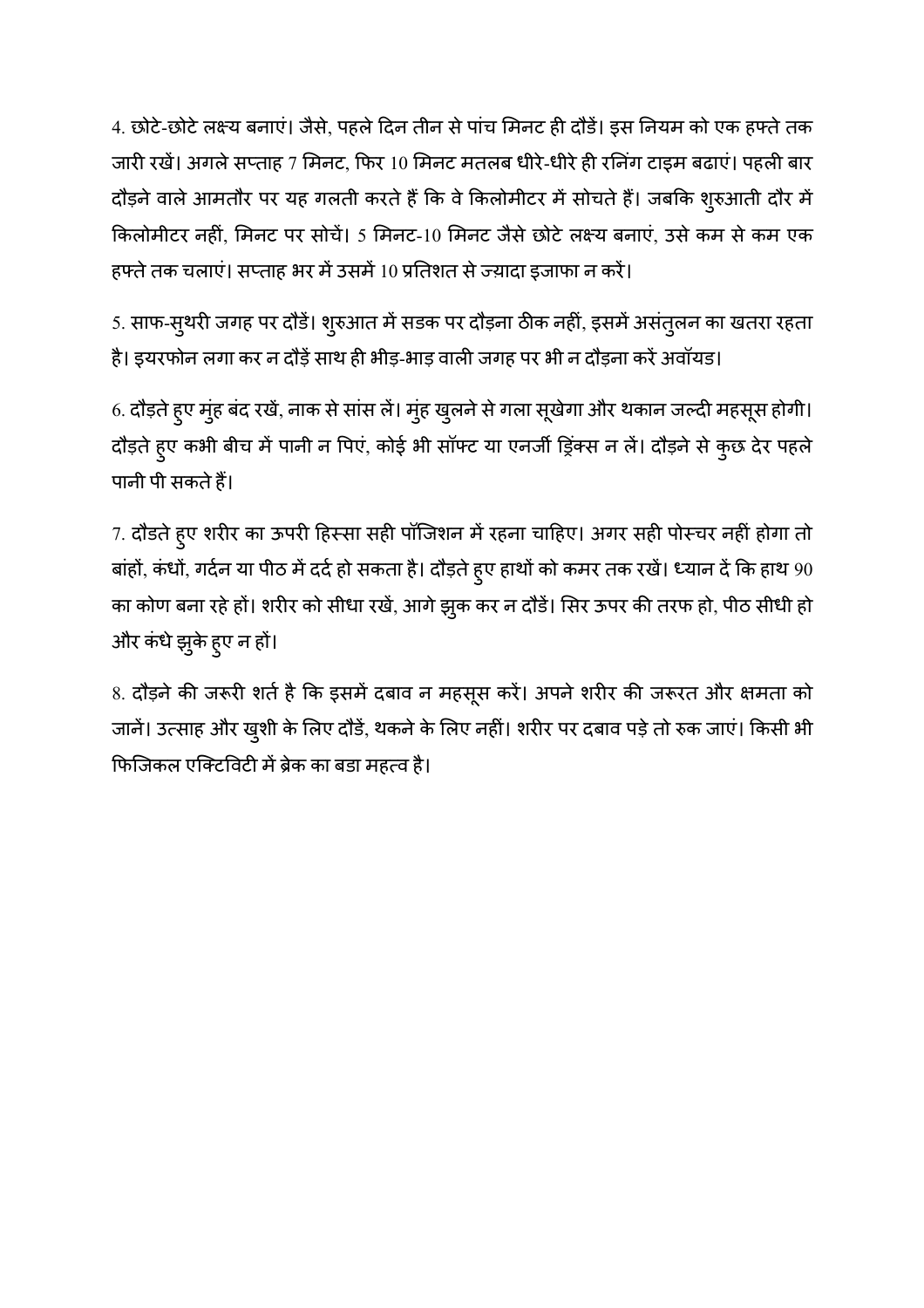4. छोटे-छोटे लक्ष्य बनाएं। जैसे, पहले दिन तीन से पांच मिनट ही दौडें। इस नियम को एक हफ्ते तक जारी रखें। अगले सप्ताह 7 मिनट, फिर 10 मिनट मतलब धीरे-धीरे ही रनिंग टाइम बढाएं। पहली बार दौड़ने वाले आमतौर पर यह गलती करते हैं कि वे किलोमीटर में सोचते हैं। जबकि शुरुआती दौर में किलोमीटर नहीं, मिनट पर सोचें। 5 मिनट-10 मिनट जैसे छोटे लक्ष्य बनाएं, उसे कम से कम एक हफ्ते तक चलाएं। सप्ताह भर में उसमें 10 प्रतिशत से ज्य़ादा इजाफा न करें।

5. साफ-सुथरी जगह पर दौड़ें। शुरुआत में सडक पर दौड़ना ठीक नहीं, इसमें असंतुलन का खतरा रहता है। इयरफोन लगा कर न दौड़ें साथ ही भीड़-भाड़ वाली जगह पर भी न दौड़ना करें अवॉयड।

6. दौड़ते हुए मुंह बंद रखें, नाक से सांस लें। मुंह खुलने से गला सूखेगा और थकान जल्दी महसूस होगी। दौड़ते हुए कभी बीच में पानी न पिएं, कोई भी सॉफ्ट या एनर्जी ड्रिंक्स न लें। दौड़ने से कुछ देर पहले पानी पी सकते हैं।

7. दौडते हुए शरीर का ऊपरी हिस्सा सही पॉजिशन में रहना चाहिए। अगर सही पोस्चर नहीं होगा तो बांहों, कंधों, गर्दन या पीठ में दर्द हो सकता है। दौड़ते हुए हाथों को कमर तक रखें। ध्यान दें कि हाथ 90 का कोण बना रहे हों। शरीर को सीधा रखें, आगे झुक कर न दौडें। सिर ऊपर की तरफ हो, पीठ सीधी हो और कंधे झुके हुए न हों।

8. दौड़ने की जरूरी शर्त है कि इसमें दबाव न महसूस करें। अपने शरीर की जरूरत और क्षमता को जानें। उत्साह और खुशी के लिए दौड़ें, थकने के लिए नहीं। शरीर पर दबाव पड़े तो रुक जाएं। किसी भी फिजिकल एक्टिविटी में ब्रेक का बडा महत्व है।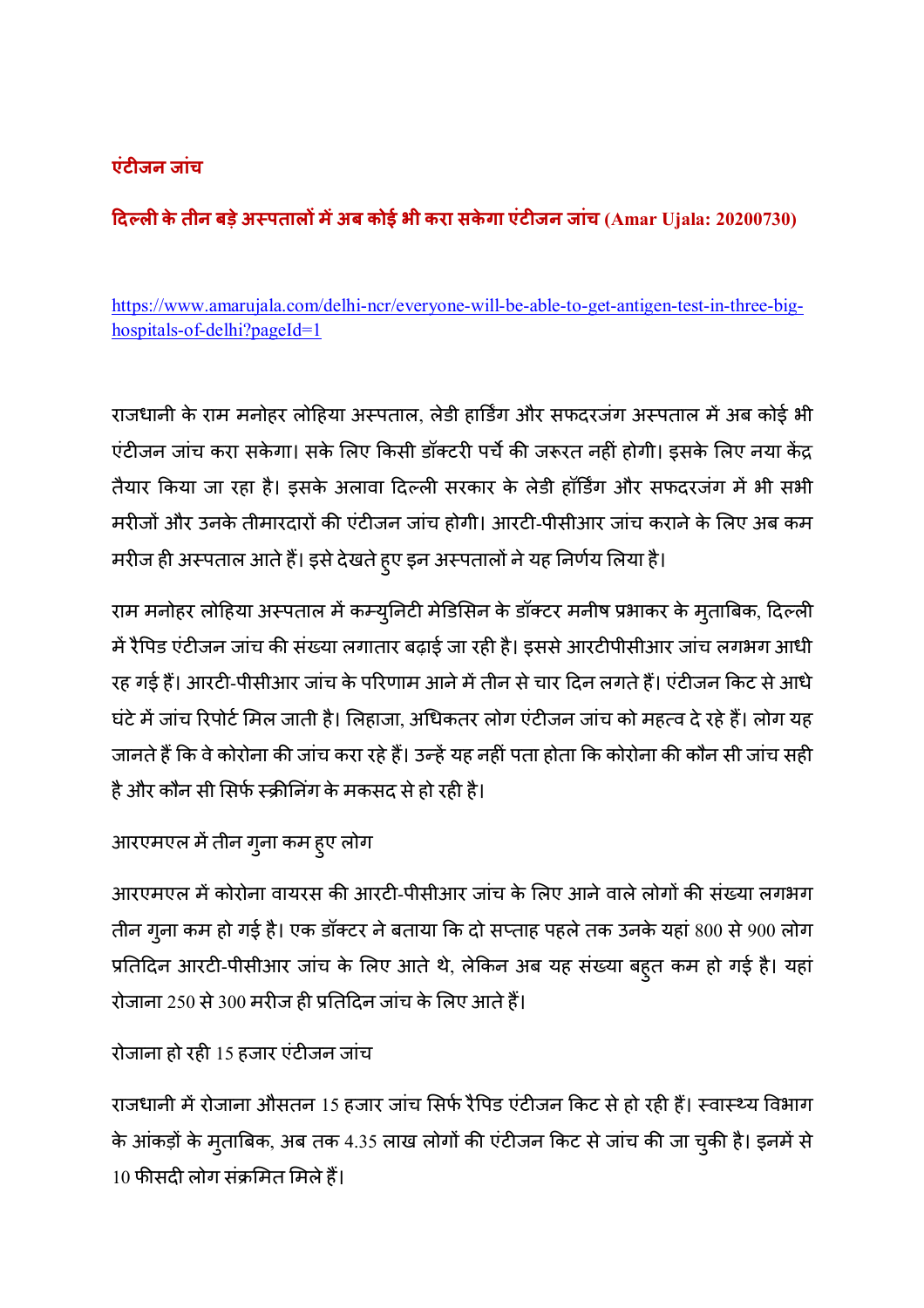# **एंटजन जांच**

# **दEल केतीन बड़ेअ6पतालC मअब कोई भी करा सके गा एंटजन जांच (Amar Ujala: 20200730)**

https://www.amarujala.com/delhi-ncr/everyone-will-be-able-to-get-antigen-test-in-three-bighospitals-of-delhi?pageId=1

राजधानी के राम मनोहर लोहिया अस्पताल, लेडी हार्डिंग और सफदरजंग अस्पताल में अब कोई भी एंटीजन जांच करा सकेगा। सके लिए किसी डॉक्टरी पर्चे की जरूरत नहीं होगी। इसके लिए नया केंद्र तैयार किया जा रहा है। इसके अलावा दिल्ली सरकार के लेडी हॉर्डिंग और सफदरजंग में भी सभी मरीजों और उनके तीमारदारों की एंटीजन जांच होगी। आरटी-पीसीआर जांच कराने के लिए अब कम मरीज ही अस्पताल आते हैं। इसे देखते हुए इन अस्पतालों ने यह निर्णय लिया है।

राम मनोहर लोहिया अस्पताल में कम्युनिटी मेडिसिन के डॉक्टर मनीष प्रभाकर के मुताबिक, दिल्ली में रैपिड एंटीजन जांच की संख्या लगातार बढ़ाई जा रही है। इससे आरटीपीसीआर जांच लगभग आधी रह गई हैं। आरटी-पीसीआर जांच के परिणाम आने में तीन से चार दिन लगते हैं। एंटीजन किट से आधे घंटे में जांच रिपोर्ट मिल जाती है। लिहाजा, अधिकतर लोग एंटीजन जांच को महत्व दे रहे हैं। लोग यह जानते हैं कि वे कोरोना की जांच करा रहे हैं। उन्हें यह नहीं पता होता कि कोरोना की कौन सी जांच सही है और कौन सी सिर्फ स्क्रीनिंग के मकसद से हो रही है।

# आरएमएल में तीन गुना कम हुए लोग

आरएमएल में कोरोना वायरस की आरटी-पीसीआर जांच के लिए आने वाले लोगों की संख्या लगभग तीन गुना कम हो गई है। एक डॉक्टर ने बताया कि दो सप्ताह पहले तक उनके यहां 800 से 900 लोग प्रतिदिन आरटी-पीसीआर जांच के लिए आते थे, लेकिन अब यह संख्या बहुत कम हो गई है। यहां रोजाना 250 से 300 मरीज ही प्रतिदिन जांच के लिए आते हैं।

# रोजाना हो रही 15 हजार एंटीजन जांच

राजधानी में रोजाना औसतन 15 हजार जांच सिर्फ रैपिड एंटीजन किट से हो रही हैं। स्वास्थ्य विभाग के आंकड़ों के मुताबिक, अब तक 4.35 लाख लोगों की एंटीजन किट से जांच की जा चुकी है। इनमें से  $10$  फीसदी लोग संक्रमित मिले हैं।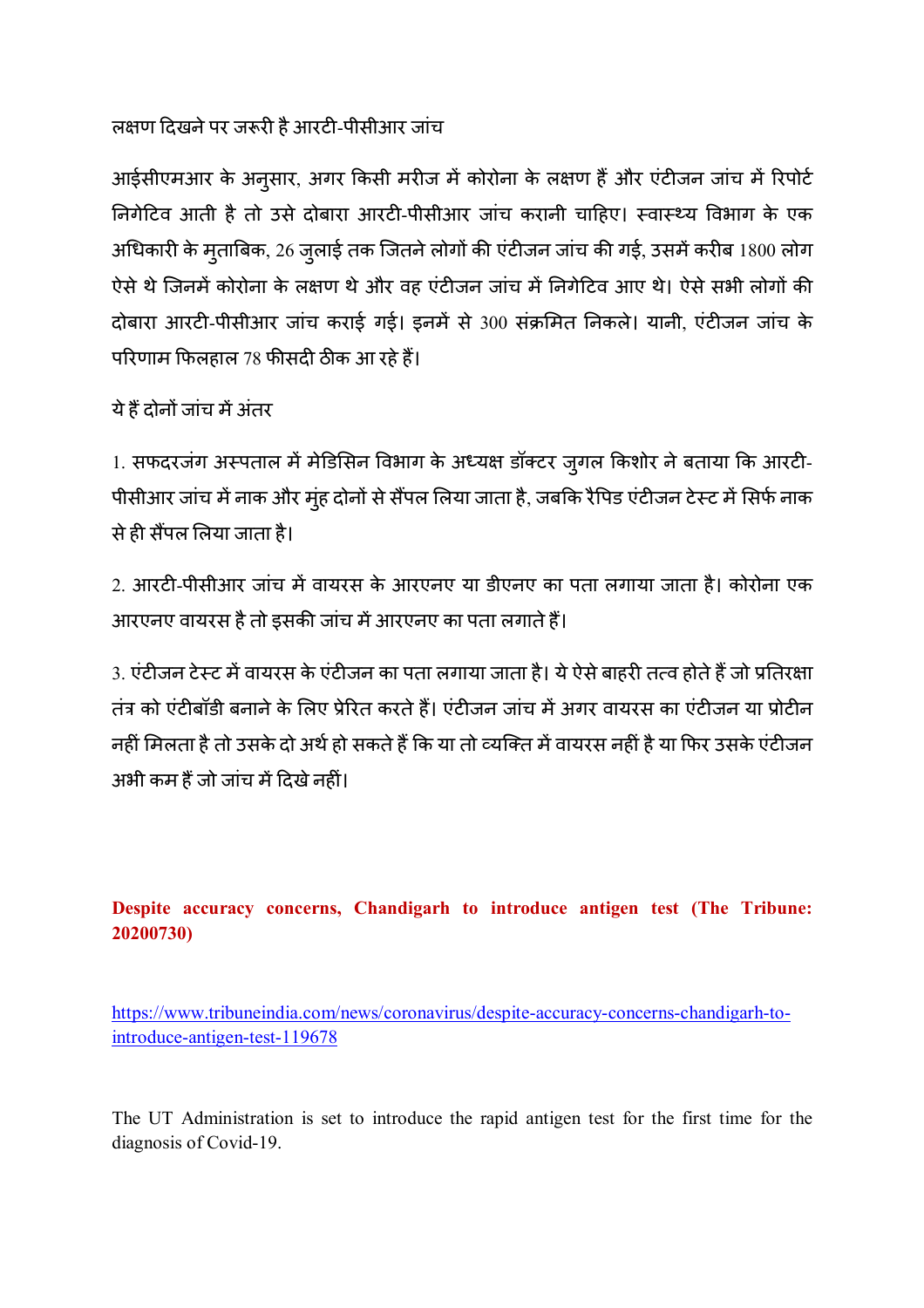# लक्षण दिखने पर जरूरी है आरटी-पीसीआर जांच

आईसीएमआर के अनुसार, अगर किसी मरीज में कोरोना के लक्षण हैं और एंटीजन जांच में रिपोर्ट निगेटिव आती है तो उसे दोबारा आरटी-पीसीआर जांच करानी चाहिए। स्वास्थ्य विभाग के एक अधिकारी के मुताबिक, 26 जुलाई तक जितने लोगों की एंटीजन जांच की गई, उसमें करीब 1800 लोग ऐसे थे जिनमें कोरोना के लक्षण थे और वह एंटीजन जांच में निगेटिव आए थे। ऐसे सभी लोगों की दोबारा आरटी-पीसीआर जांच कराई गई। इनमें से 300 संक्रमित निकले। यानी, एंटीजन जांच के परिणाम फिलहाल 78 फीसदी ठीक आ रहे हैं।

ये हैं दोनों जांच में अंतर

1. सफदरजंग अस्पताल में मेडिसिन विभाग के अध्यक्ष डॉक्टर ज़्गल किशोर ने बताया कि आरटी-पीसीआर जांच में नाक और मुंह दोनों से सैंपल लिया जाता है, जबकि रैपिड एंटीजन टेस्ट में सिर्फ नाक से ही सैंपल लिया जाता है।

2. आरटी-पीसीआर जांच में वायरस के आरएनए या डीएनए का पता लगाया जाता है। कोरोना एक आरएनए वायरस है तो इसकी जांच में आरएनए का पता लगाते हैं।

3. एंटीजन टेस्ट में वायरस के एंटीजन का पता लगाया जाता है। ये ऐसे बाहरी तत्व होते हैं जो प्रतिरक्षा तंत्र को एंटीबॉडी बनाने के लिए प्रेरित करते हैं। एंटीजन जांच में अगर वायरस का एंटीजन या प्रोटीन नहीं मिलता है तो उसके दो अर्थ हो सकते हैं कि या तो व्यक्ति में वायरस नहीं है या फिर उसके एंटीजन अभी कम हैं जो जांच में दिखे नहीं।

# **Despite accuracy concerns, Chandigarh to introduce antigen test (The Tribune: 20200730)**

https://www.tribuneindia.com/news/coronavirus/despite-accuracy-concerns-chandigarh-tointroduce-antigen-test-119678

The UT Administration is set to introduce the rapid antigen test for the first time for the diagnosis of Covid-19.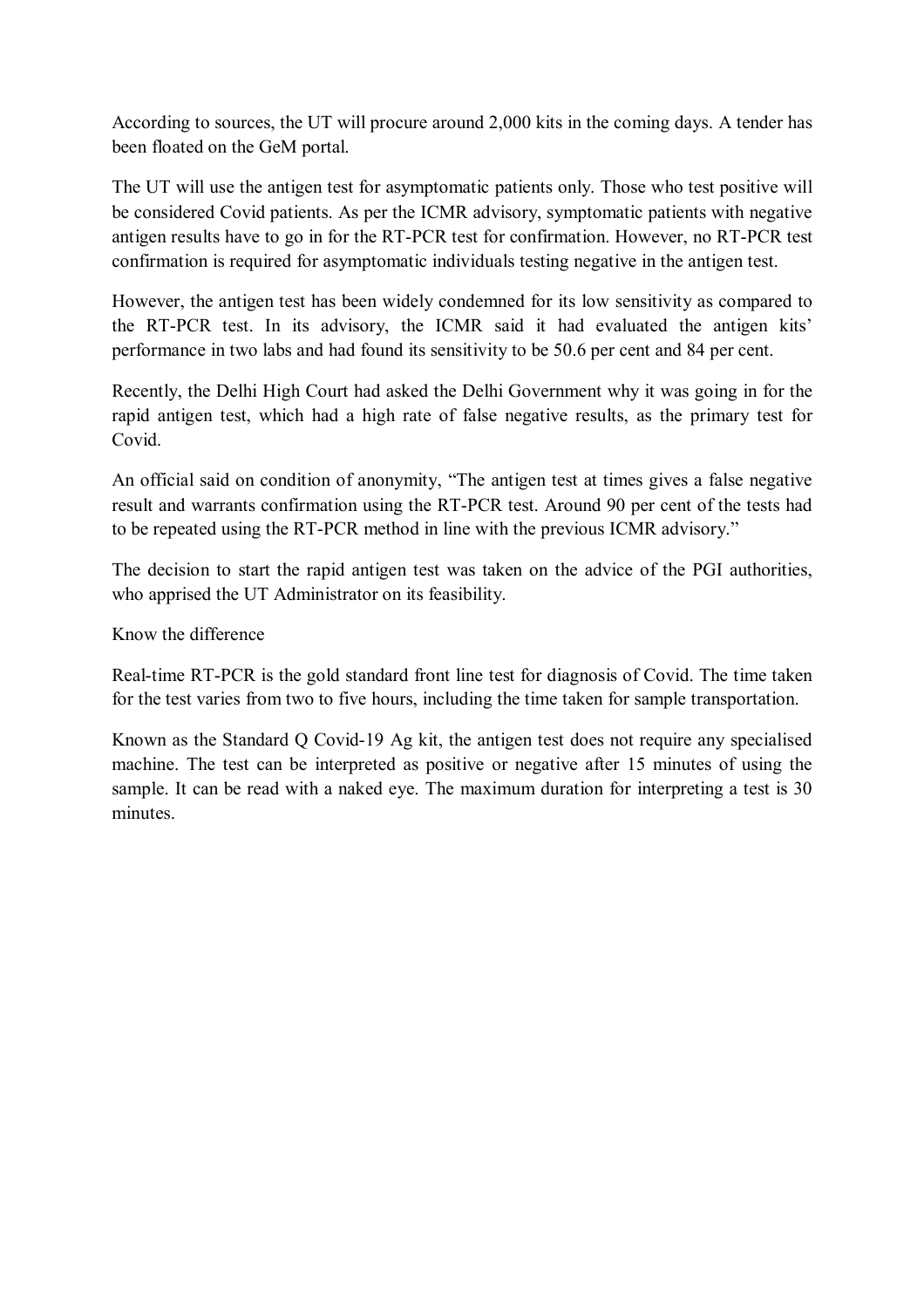According to sources, the UT will procure around 2,000 kits in the coming days. A tender has been floated on the GeM portal.

The UT will use the antigen test for asymptomatic patients only. Those who test positive will be considered Covid patients. As per the ICMR advisory, symptomatic patients with negative antigen results have to go in for the RT-PCR test for confirmation. However, no RT-PCR test confirmation is required for asymptomatic individuals testing negative in the antigen test.

However, the antigen test has been widely condemned for its low sensitivity as compared to the RT-PCR test. In its advisory, the ICMR said it had evaluated the antigen kits' performance in two labs and had found its sensitivity to be 50.6 per cent and 84 per cent.

Recently, the Delhi High Court had asked the Delhi Government why it was going in for the rapid antigen test, which had a high rate of false negative results, as the primary test for Covid.

An official said on condition of anonymity, "The antigen test at times gives a false negative result and warrants confirmation using the RT-PCR test. Around 90 per cent of the tests had to be repeated using the RT-PCR method in line with the previous ICMR advisory."

The decision to start the rapid antigen test was taken on the advice of the PGI authorities, who apprised the UT Administrator on its feasibility.

Know the difference

Real-time RT-PCR is the gold standard front line test for diagnosis of Covid. The time taken for the test varies from two to five hours, including the time taken for sample transportation.

Known as the Standard Q Covid-19 Ag kit, the antigen test does not require any specialised machine. The test can be interpreted as positive or negative after 15 minutes of using the sample. It can be read with a naked eye. The maximum duration for interpreting a test is 30 minutes.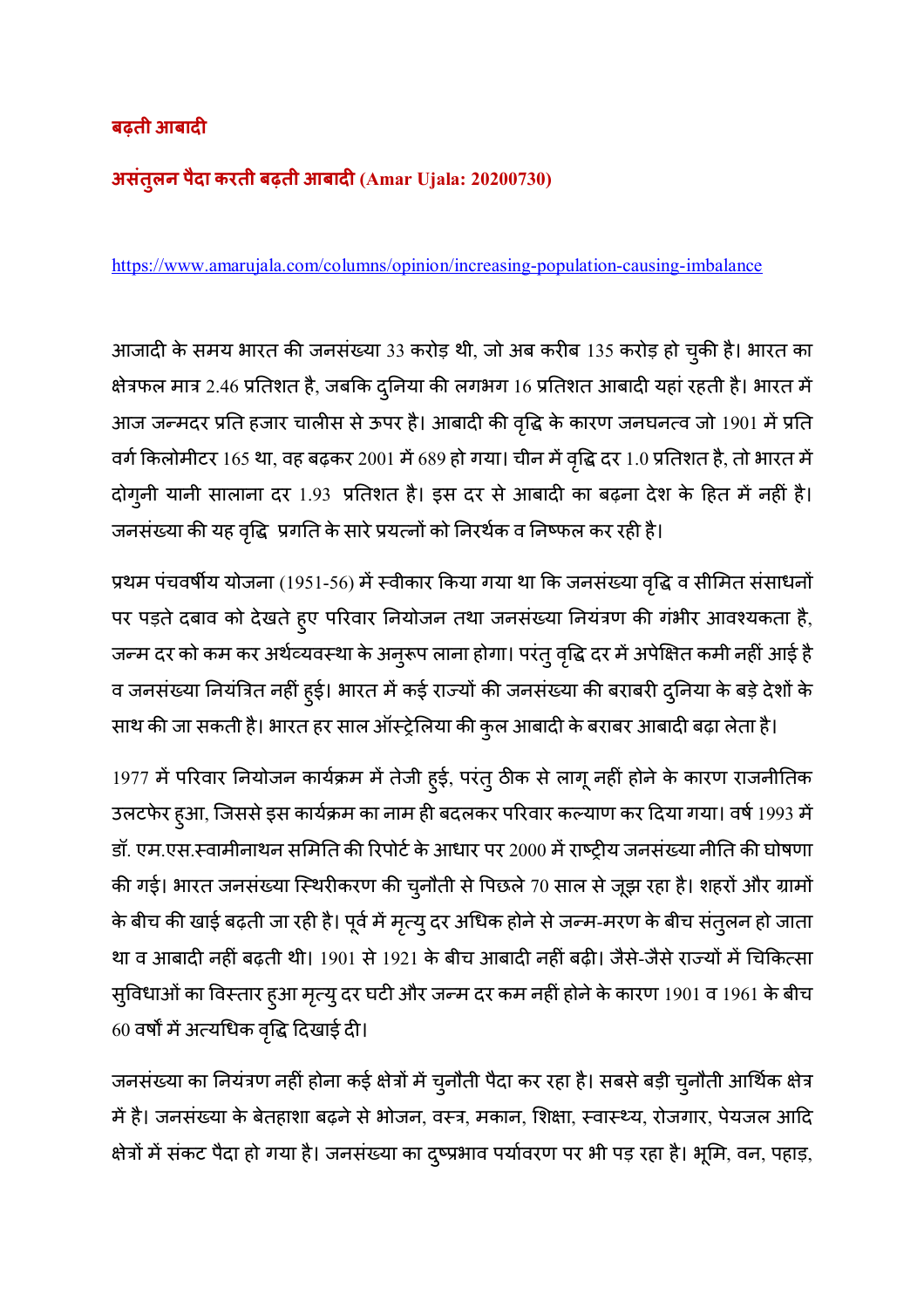# **बढ़ती आबाद**

# **असंतुलन पैदा करती बढ़ती आबाद (Amar Ujala: 20200730)**

https://www.amarujala.com/columns/opinion/increasing-population-causing-imbalance

आजादी के समय भारत की जनसंख्या 33 करोड़ थी, जो अब करीब 135 करोड़ हो चुकी है। भारत का क्षेत्रफल मात्र 2.46 प्रतिशत है, जबकि दुनिया की लगभग 16 प्रतिशत आबादी यहां रहती है। भारत में आज जन्मदर प्रति हजार चालीस से ऊपर है। आबादी की वृद्धि के कारण जनघनत्व जो 1901 में प्रति वर्ग किलोमीटर 165 था, वह बढ़कर 2001 में 689 हो गया। चीन में वृद्धि दर 1.0 प्रतिशत है, तो भारत में दोगुनी यानी सालाना दर 1.93 प्रतिशत है। इस दर से आबादी का बढ़ना देश के हित में नहीं है। जनसंख्या की यह वृद्धि प्रगति के सारे प्रयत्नों को निरर्थक व निष्फल कर रही है।

प्रथम पंचवर्षीय योजना (1951-56) में स्वीकार किया गया था कि जनसंख्या वृद्धि व सीमित संसाधनों पर पड़ते दबाव को देखते हुए परिवार नियोजन तथा जनसंख्या नियंत्रण की गंभीर आवश्यकता है, जन्म दर को कम कर अर्थव्यवस्था के अनुरूप लाना होगा। परंतु वृद्धि दर में अपेक्षित कमी नहीं आई है व जनसंख्या नियंत्रित नहीं हुई। भारत में कई राज्यों की जनसंख्या की बराबरी दुनिया के बड़े देशों के

साथ की जा सकती है। भारत हर साल ऑस्ट्रेलिया की कुल आबादी के बराबर आबादी बढ़ा लेता है।

1977 में परिवार नियोजन कार्यक्रम में तेजी हुई, परंतु ठीक से लागू नहीं होने के कारण राजनीतिक उलटफेर हुआ, जिससे इस कार्यक्रम का नाम ही बदलकर परिवार कल्याण कर दिया गया। वर्ष 1993 में डॉ. एम.एस.स्वामीनाथन समिति की रिपोर्ट के आधार पर 2000 में राष्ट्रीय जनसंख्या नीति की घोषणा की गई। भारत जनसंख्या स्थिरीकरण की चुनौती से पिछले 70 साल से जूझ रहा है। शहरों और ग्रामों के बीच की खाई बढ़ती जा रही है। पूर्व में मृत्यु दर अधिक होने से जन्म-मरण के बीच संतुलन हो जाता था व आबादी नहीं बढ़ती थी। 1901 से 1921 के बीच आबादी नहीं बढ़ी। जैसे-जैसे राज्यों में चिकित्सा सुविधाओं का विस्तार हुआ मृत्यु दर घटी और जन्म दर कम नहीं होने के कारण 1901 व 1961 के बीच  $60$  वर्षों में अत्यधिक वृद्धि दिखाई दी।

जनसंख्या का नियंत्रण नहीं होना कई क्षेत्रों में चुनौती पैदा कर रहा है। सबसे बड़ी चुनौती आर्थिक क्षेत्र में है। जनसंख्या के बेतहाशा बढ़ने से भोजन, वस्त्र, मकान, शिक्षा, स्वास्थ्य, रोजगार, पेयजल आदि क्षेत्रों में संकट पैदा हो गया है। जनसंख्या का दुष्प्रभाव पर्यावरण पर भी पड़ रहा है। भूमि, वन, पहाड़,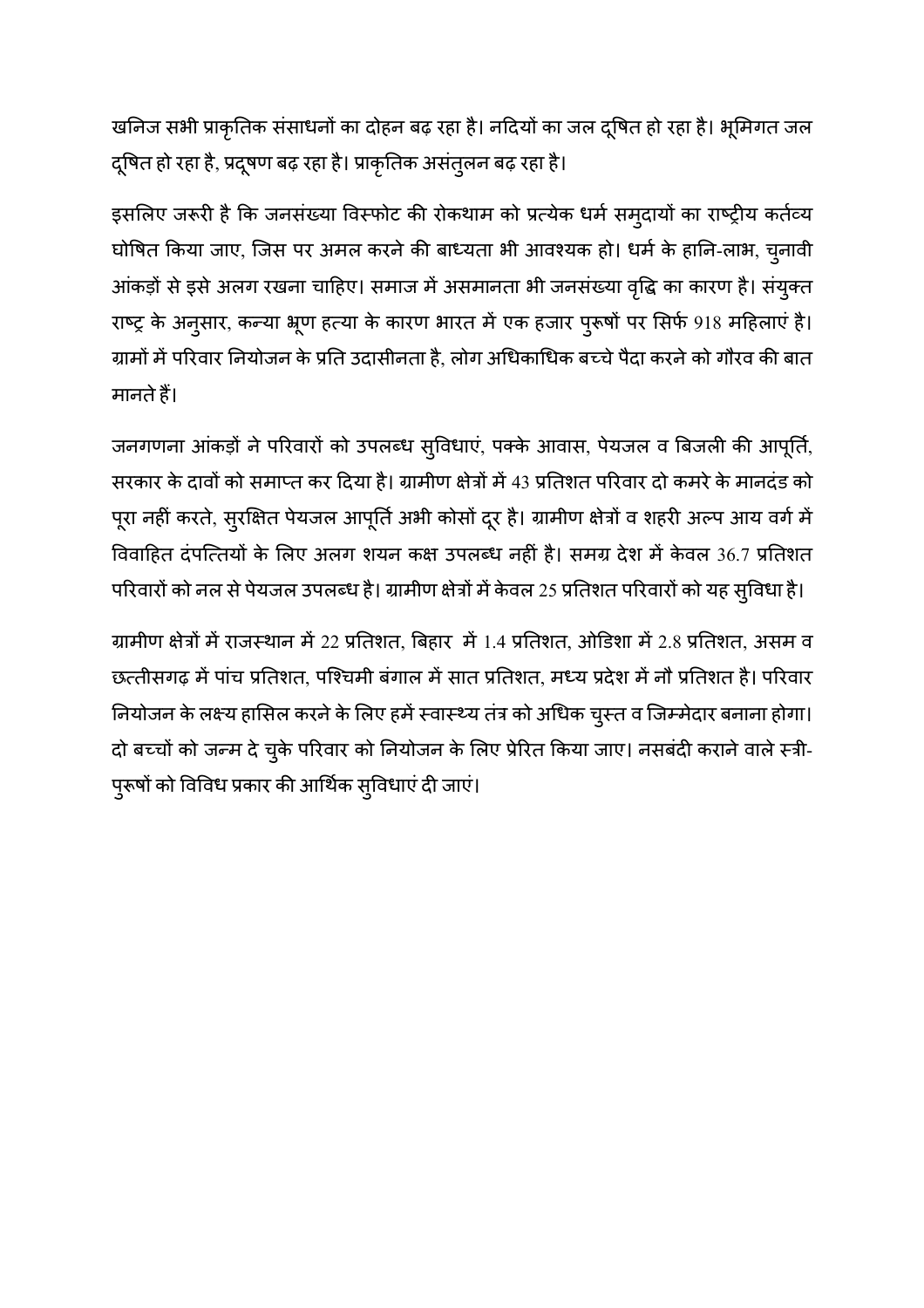खनिज सभी प्राकृतिक संसाधनों का दोहन बढ़ रहा है। नदियों का जल दुषित हो रहा है। भूमिगत जल द्षित हो रहा है, प्रदूषण बढ़ रहा है। प्राकृतिक असंतुलन बढ़ रहा है।

इसलिए जरूरी है कि जनसंख्या विस्फोट की रोकथाम को प्रत्येक धर्म समुदायों का राष्ट्रीय कर्तव्य घोषित किया जाए, जिस पर अमल करने की बाध्यता भी आवश्यक हो। धर्म के हानि-लाभ, चुनावी आंकड़ों से इसे अलग रखना चाहिए। समाज में असमानता भी जनसंख्या वृद्धि का कारण है। संयुक्त राष्ट्र के अनुसार, कन्या भ्रूण हत्या के कारण भारत में एक हजार पुरूषों पर सिर्फ 918 महिलाएं है। ग्रामों में परिवार नियोजन के प्रति उदासीनता है, लोग अधिकाधिक बच्चे पैदा करने को गौरव की बात मानते हैं।

जनगणना आंकड़ों ने परिवारों को उपलब्ध सुविधाएं, पक्के आवास, पेयजल व बिजली की आपूर्ति, सरकार के दावों को समाप्त कर दिया है। ग्रामीण क्षेत्रों में 43 प्रतिशत परिवार दो कमरे के मानदंड को पूरा नहीं करते, सुरक्षित पेयजल आपूर्ति अभी कोसों दूर है। ग्रामीण क्षेत्रों व शहरी अल्प आय वर्ग में विवाहित दंपत्तियों के लिए अलग शयन कक्ष उपलब्ध नहीं है। समग्र देश में केवल 36.7 प्रतिशत परिवारों को नल से पेयजल उपलब्ध है। ग्रामीण क्षेत्रों में केवल 25 प्रतिशत परिवारों को यह सुविधा है।

ग्रामीण क्षेत्रों में राजस्थान में 22 प्रतिशत, बिहार में 1.4 प्रतिशत, ओडिशा में 2.8 प्रतिशत, असम व छत्तीसगढ़ में पांच प्रतिशत, पश्चिमी बंगाल में सात प्रतिशत, मध्य प्रदेश में नौ प्रतिशत है। परिवार नियोजन के लक्ष्य हासिल करने के लिए हमें स्वास्थ्य तंत्र को अधिक चुस्त व जिम्मेदार बनाना होगा। दो बच्चों को जन्म दे चुके परिवार को नियोजन के लिए प्रेरित किया जाए। नसबंदी कराने वाले स्त्री-पुरूषों को विविध प्रकार की आर्थिक सुविधाएं दी जाएं।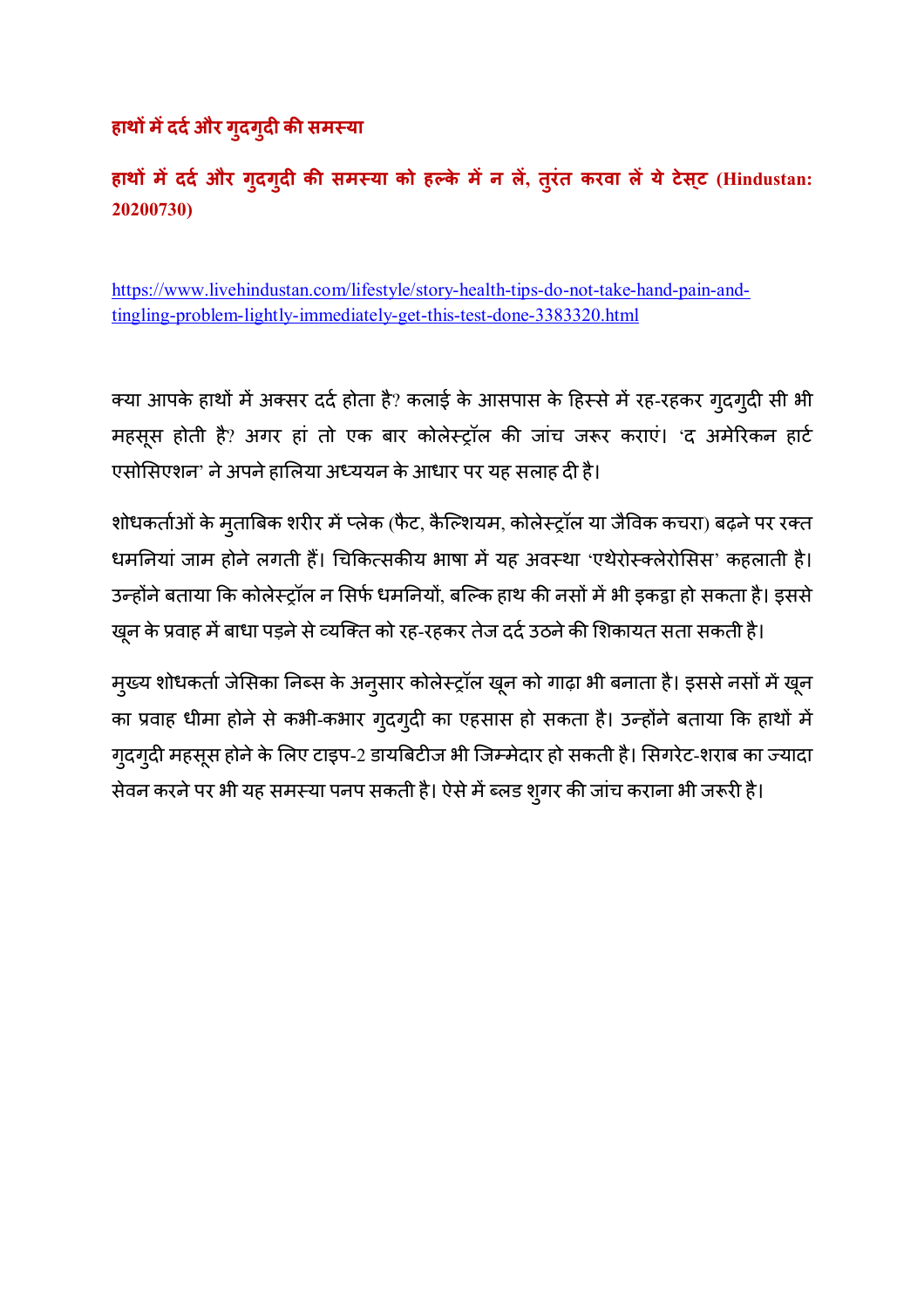# $R$  हाथों में दर्द और गुदगुदी की समस्या

**हाथC मददH और गुदगुद क1 सम6या को हEके मन ल, तुरंत करवा लयेटेसट् (Hindustan: 20200730)** 

https://www.livehindustan.com/lifestyle/story-health-tips-do-not-take-hand-pain-andtingling-problem-lightly-immediately-get-this-test-done-3383320.html

क्या आपके हाथों में अक्सर दर्द होता है? कलाई के आसपास के हिस्से में रह-रहकर गुदगुदी सी भी महसूस होती है? अगर हां तो एक बार कोलेस्ट्रॉल की जांच जरूर कराएं। 'द अमेरिकन हार्ट एसोसिएशन' ने अपने हालिया अध्ययन के आधार पर यह सलाह दी है।

शोधकर्ताओं के मुताबिक शरीर में प्लेक (फैट, कैल्शियम, कोलेस्ट्रॉल या जैविक कचरा) बढ़ने पर रक्त धमनियां जाम होने लगती हैं। चिकित्सकीय भाषा में यह अवस्था 'एथेरोस्क्लेरोसिस' कहलाती है। उन्होंने बताया कि कोलेस्ट्रॉल न सिर्फ धमनियों, बल्कि हाथ की नसों में भी इकट्ठा हो सकता है। इससे खून के प्रवाह में बाधा पड़ने से व्यक्ति को रह-रहकर तेज दर्द उठने की शिकायत सता सकती है।

मुख्य शोधकर्ता जेसिका निब्स के अनुसार कोलेस्ट्रॉल खून को गाढ़ा भी बनाता है। इससे नसों में खून का प्रवाह धीमा होने से कभी-कभार गुदगुदी का एहसास हो सकता है। उन्होंने बताया कि हाथों में गुदगुदी महसूस होने के लिए टाइप-2 डायबिटीज भी जिम्मेदार हो सकती है। सिगरेट-शराब का ज्यादा सेवन करने पर भी यह समस्या पनप सकती है। ऐसे में ब्लड श्गर की जांच कराना भी जरूरी है।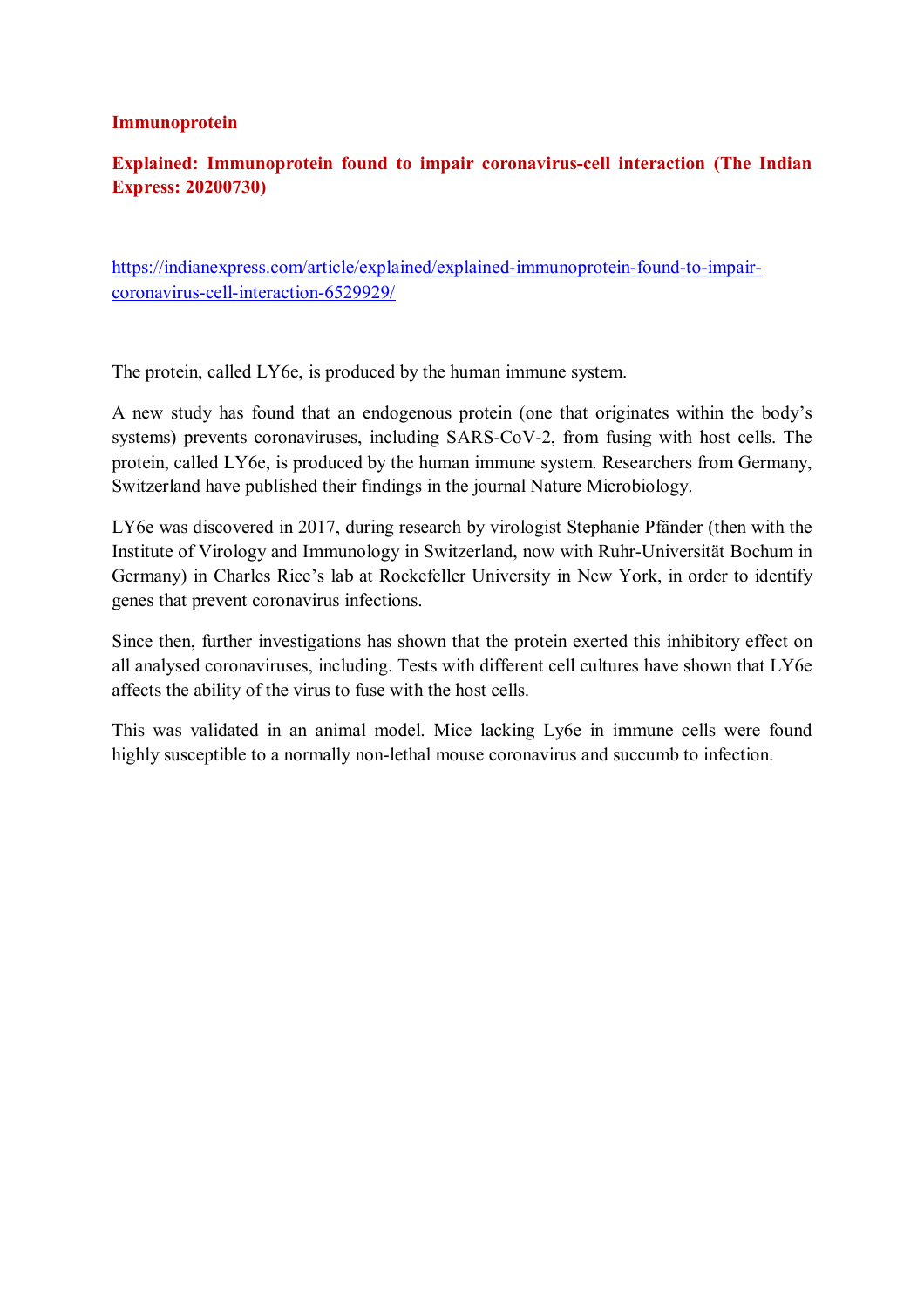#### **Immunoprotein**

# **Explained: Immunoprotein found to impair coronavirus-cell interaction (The Indian Express: 20200730)**

https://indianexpress.com/article/explained/explained-immunoprotein-found-to-impaircoronavirus-cell-interaction-6529929/

The protein, called LY6e, is produced by the human immune system.

A new study has found that an endogenous protein (one that originates within the body's systems) prevents coronaviruses, including SARS-CoV-2, from fusing with host cells. The protein, called LY6e, is produced by the human immune system. Researchers from Germany, Switzerland have published their findings in the journal Nature Microbiology.

LY6e was discovered in 2017, during research by virologist Stephanie Pfänder (then with the Institute of Virology and Immunology in Switzerland, now with Ruhr-Universität Bochum in Germany) in Charles Rice's lab at Rockefeller University in New York, in order to identify genes that prevent coronavirus infections.

Since then, further investigations has shown that the protein exerted this inhibitory effect on all analysed coronaviruses, including. Tests with different cell cultures have shown that LY6e affects the ability of the virus to fuse with the host cells.

This was validated in an animal model. Mice lacking Ly6e in immune cells were found highly susceptible to a normally non-lethal mouse coronavirus and succumb to infection.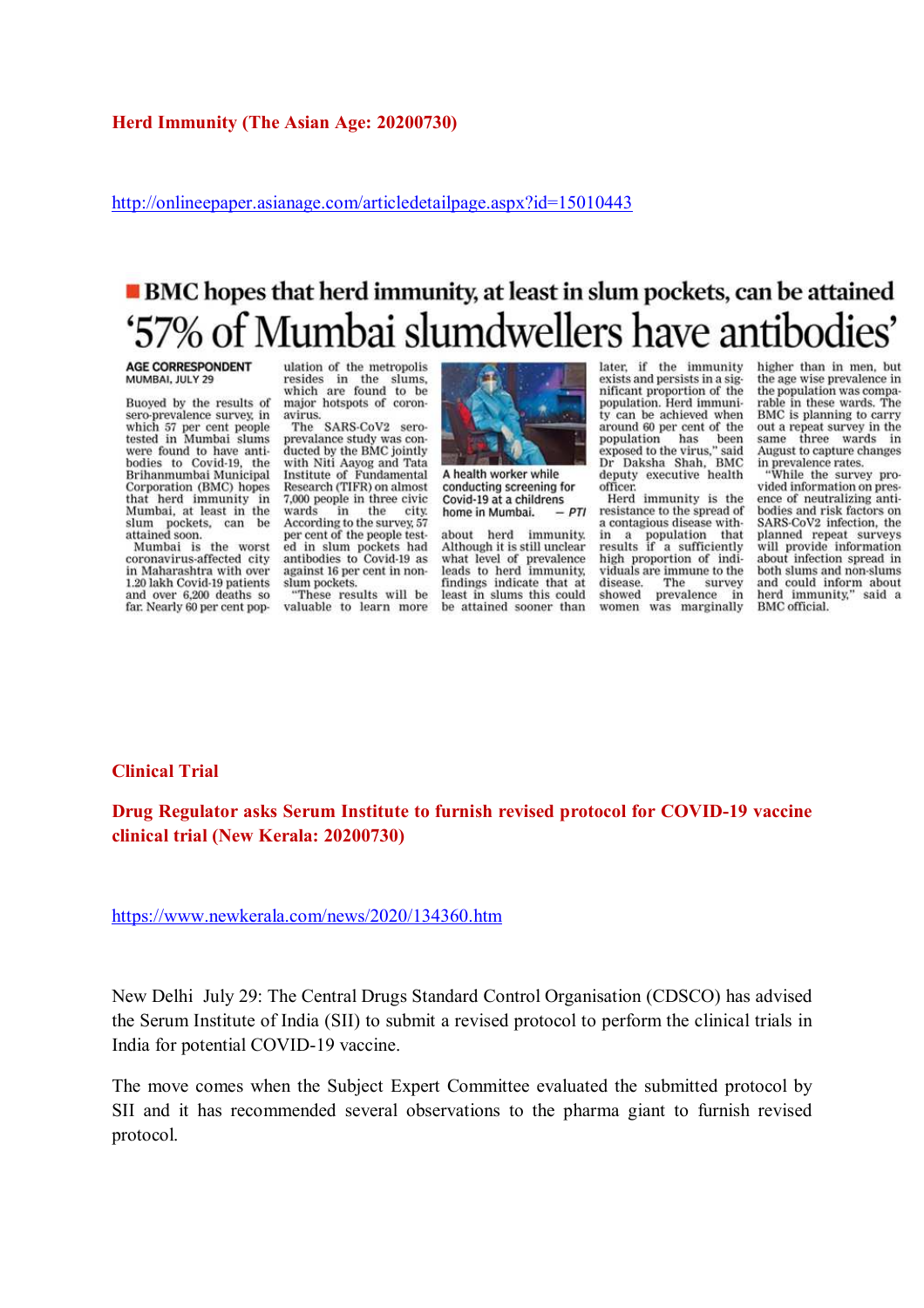http://onlineepaper.asianage.com/articledetailpage.aspx?id=15010443

# **BMC** hopes that herd immunity, at least in slum pockets, can be attained '57% of Mumbai slumdwellers have antibodies'

**AGE CORRESPONDENT** MUMBAI, JULY 29

Buoyed by the results of<br>sero-prevalence survey, in which 57 per cent people<br>tested in Mumbai slums were found to have antibodies to Covid-19, the Brihanmumbai Municipal Corporation (BMC) hopes that herd immunity in<br>Mumbai, at least in the slum pockets,<br>attained soon. can be

Mumbai is the worst coronavirus-affected city in Maharashtra with over 1.20 lakh Covid-19 patients and over 6,200 deaths so far. Nearly 60 per cent population of the metropolis resides in the slums,<br>which are found to be major hotspots of coronavirus.

The SARS-CoV2 seroprevalance study was conducted by the BMC jointly with Niti Aavog and Tata Institute of Fundamental Research (TIFR) on almost 7,000 people in three civic wards in the city. According to the survey, 57 per cent of the people tested in slum pockets had antibodies to Covid-19 as against 16 per cent in nonslum pockets.

"These results will be valuable to learn more



A health worker while conducting screening for Covid-19 at a childrens  $-PTI$ home in Mumbai.

herd immunity. about Although it is still unclear what level of prevalence<br>leads to herd immunity, findings indicate that at least in slums this could be attained sooner than

later, if the immunity exists and persists in a significant proportion of the population. Herd immunity can be achieved when around 60 per cent of the population has been<br>exposed to the virus," said Dr Daksha Shah, BMC deputy executive health officer.

Herd immunity is the resistance to the spread of a contagious disease within a population that<br>results if a sufficiently high proportion of individuals are immune to the disease. The survey prevalence showed  $in$ was marginally women

higher than in men, but the age wise prevalence in the population was comparable in these wards. The<br>BMC is planning to carry out a repeat survey in the same three wards in August to capture changes in prevalence rates.<br>"While the survey pro-

vided information on presence of neutralizing antibodies and risk factors on SARS-CoV2 infection, the planned repeat surveys<br>will provide information about infection spread in both slums and non-slums and could inform about herd immunity," said a **BMC** official.

#### **Clinical Trial**

**Drug Regulator asks Serum Institute to furnish revised protocol for COVID-19 vaccine clinical trial (New Kerala: 20200730)** 

https://www.newkerala.com/news/2020/134360.htm

New Delhi July 29: The Central Drugs Standard Control Organisation (CDSCO) has advised the Serum Institute of India (SII) to submit a revised protocol to perform the clinical trials in India for potential COVID-19 vaccine.

The move comes when the Subject Expert Committee evaluated the submitted protocol by SII and it has recommended several observations to the pharma giant to furnish revised protocol.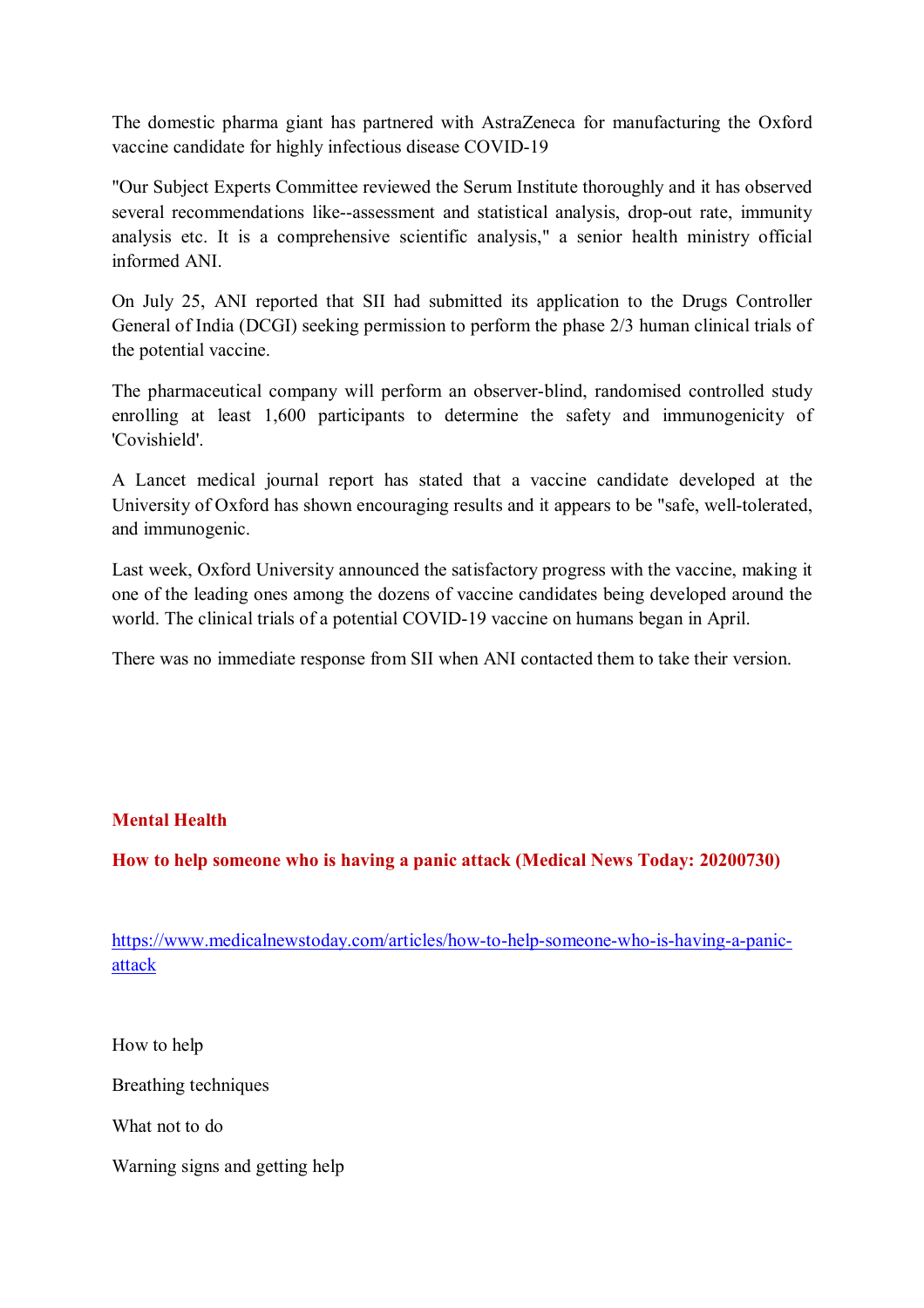The domestic pharma giant has partnered with AstraZeneca for manufacturing the Oxford vaccine candidate for highly infectious disease COVID-19

"Our Subject Experts Committee reviewed the Serum Institute thoroughly and it has observed several recommendations like--assessment and statistical analysis, drop-out rate, immunity analysis etc. It is a comprehensive scientific analysis," a senior health ministry official informed ANI.

On July 25, ANI reported that SII had submitted its application to the Drugs Controller General of India (DCGI) seeking permission to perform the phase 2/3 human clinical trials of the potential vaccine.

The pharmaceutical company will perform an observer-blind, randomised controlled study enrolling at least 1,600 participants to determine the safety and immunogenicity of 'Covishield'.

A Lancet medical journal report has stated that a vaccine candidate developed at the University of Oxford has shown encouraging results and it appears to be "safe, well-tolerated, and immunogenic.

Last week, Oxford University announced the satisfactory progress with the vaccine, making it one of the leading ones among the dozens of vaccine candidates being developed around the world. The clinical trials of a potential COVID-19 vaccine on humans began in April.

There was no immediate response from SII when ANI contacted them to take their version.

## **Mental Health**

**How to help someone who is having a panic attack (Medical News Today: 20200730)** 

https://www.medicalnewstoday.com/articles/how-to-help-someone-who-is-having-a-panicattack

How to help

Breathing techniques

What not to do

Warning signs and getting help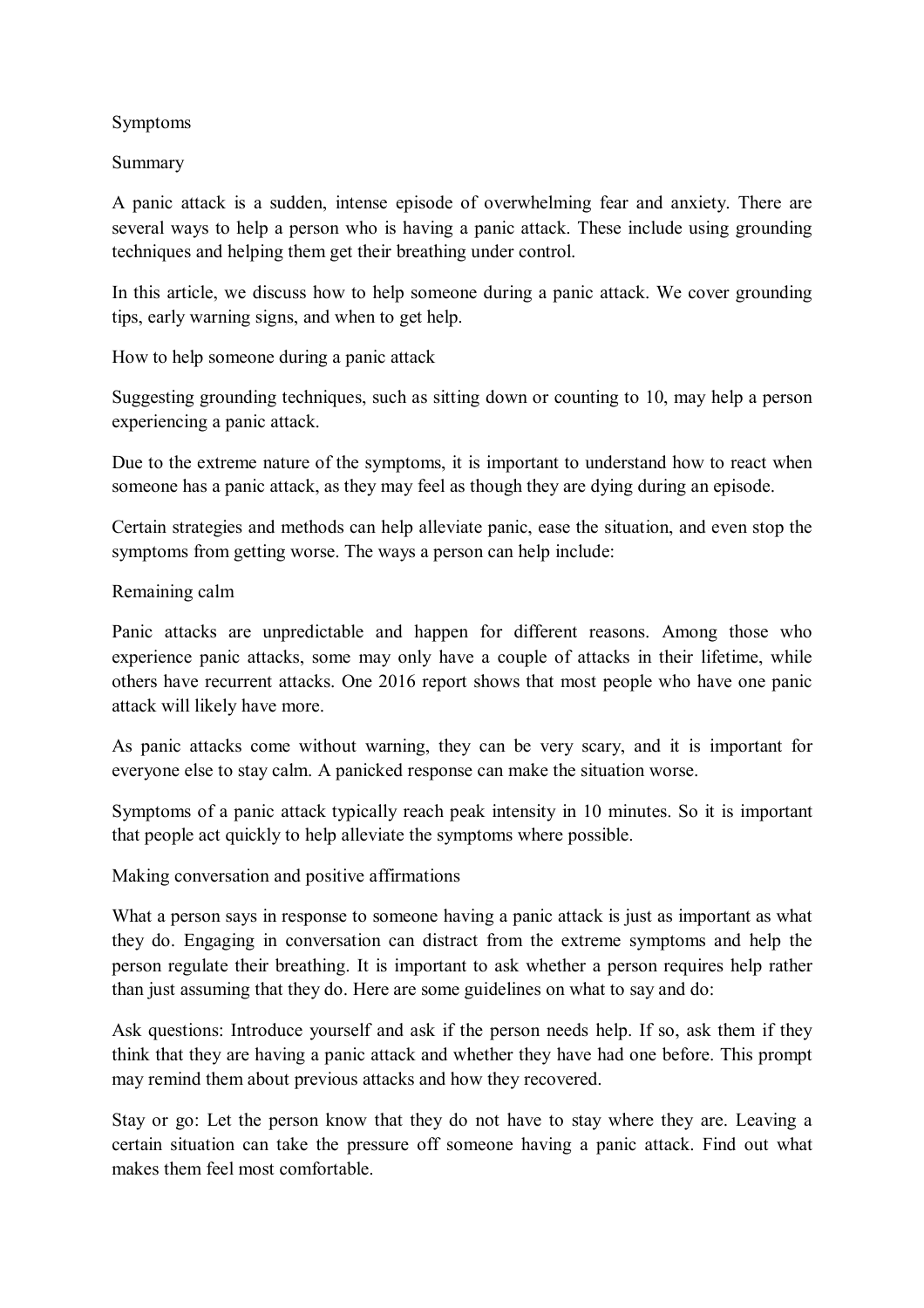#### Symptoms

#### Summary

A panic attack is a sudden, intense episode of overwhelming fear and anxiety. There are several ways to help a person who is having a panic attack. These include using grounding techniques and helping them get their breathing under control.

In this article, we discuss how to help someone during a panic attack. We cover grounding tips, early warning signs, and when to get help.

How to help someone during a panic attack

Suggesting grounding techniques, such as sitting down or counting to 10, may help a person experiencing a panic attack.

Due to the extreme nature of the symptoms, it is important to understand how to react when someone has a panic attack, as they may feel as though they are dying during an episode.

Certain strategies and methods can help alleviate panic, ease the situation, and even stop the symptoms from getting worse. The ways a person can help include:

## Remaining calm

Panic attacks are unpredictable and happen for different reasons. Among those who experience panic attacks, some may only have a couple of attacks in their lifetime, while others have recurrent attacks. One 2016 report shows that most people who have one panic attack will likely have more.

As panic attacks come without warning, they can be very scary, and it is important for everyone else to stay calm. A panicked response can make the situation worse.

Symptoms of a panic attack typically reach peak intensity in 10 minutes. So it is important that people act quickly to help alleviate the symptoms where possible.

Making conversation and positive affirmations

What a person says in response to someone having a panic attack is just as important as what they do. Engaging in conversation can distract from the extreme symptoms and help the person regulate their breathing. It is important to ask whether a person requires help rather than just assuming that they do. Here are some guidelines on what to say and do:

Ask questions: Introduce yourself and ask if the person needs help. If so, ask them if they think that they are having a panic attack and whether they have had one before. This prompt may remind them about previous attacks and how they recovered.

Stay or go: Let the person know that they do not have to stay where they are. Leaving a certain situation can take the pressure off someone having a panic attack. Find out what makes them feel most comfortable.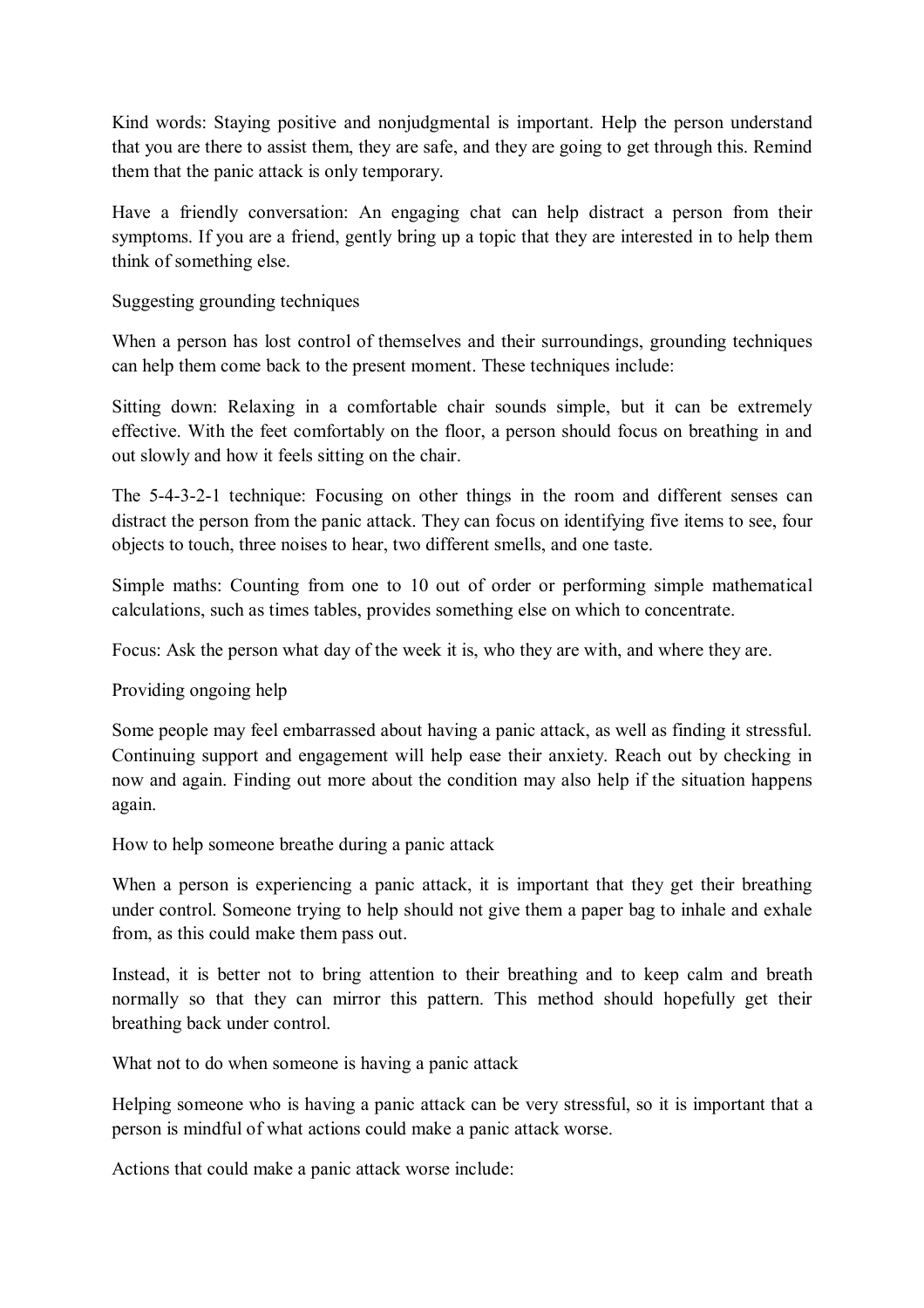Kind words: Staying positive and nonjudgmental is important. Help the person understand that you are there to assist them, they are safe, and they are going to get through this. Remind them that the panic attack is only temporary.

Have a friendly conversation: An engaging chat can help distract a person from their symptoms. If you are a friend, gently bring up a topic that they are interested in to help them think of something else.

Suggesting grounding techniques

When a person has lost control of themselves and their surroundings, grounding techniques can help them come back to the present moment. These techniques include:

Sitting down: Relaxing in a comfortable chair sounds simple, but it can be extremely effective. With the feet comfortably on the floor, a person should focus on breathing in and out slowly and how it feels sitting on the chair.

The 5-4-3-2-1 technique: Focusing on other things in the room and different senses can distract the person from the panic attack. They can focus on identifying five items to see, four objects to touch, three noises to hear, two different smells, and one taste.

Simple maths: Counting from one to 10 out of order or performing simple mathematical calculations, such as times tables, provides something else on which to concentrate.

Focus: Ask the person what day of the week it is, who they are with, and where they are.

Providing ongoing help

Some people may feel embarrassed about having a panic attack, as well as finding it stressful. Continuing support and engagement will help ease their anxiety. Reach out by checking in now and again. Finding out more about the condition may also help if the situation happens again.

How to help someone breathe during a panic attack

When a person is experiencing a panic attack, it is important that they get their breathing under control. Someone trying to help should not give them a paper bag to inhale and exhale from, as this could make them pass out.

Instead, it is better not to bring attention to their breathing and to keep calm and breath normally so that they can mirror this pattern. This method should hopefully get their breathing back under control.

What not to do when someone is having a panic attack

Helping someone who is having a panic attack can be very stressful, so it is important that a person is mindful of what actions could make a panic attack worse.

Actions that could make a panic attack worse include: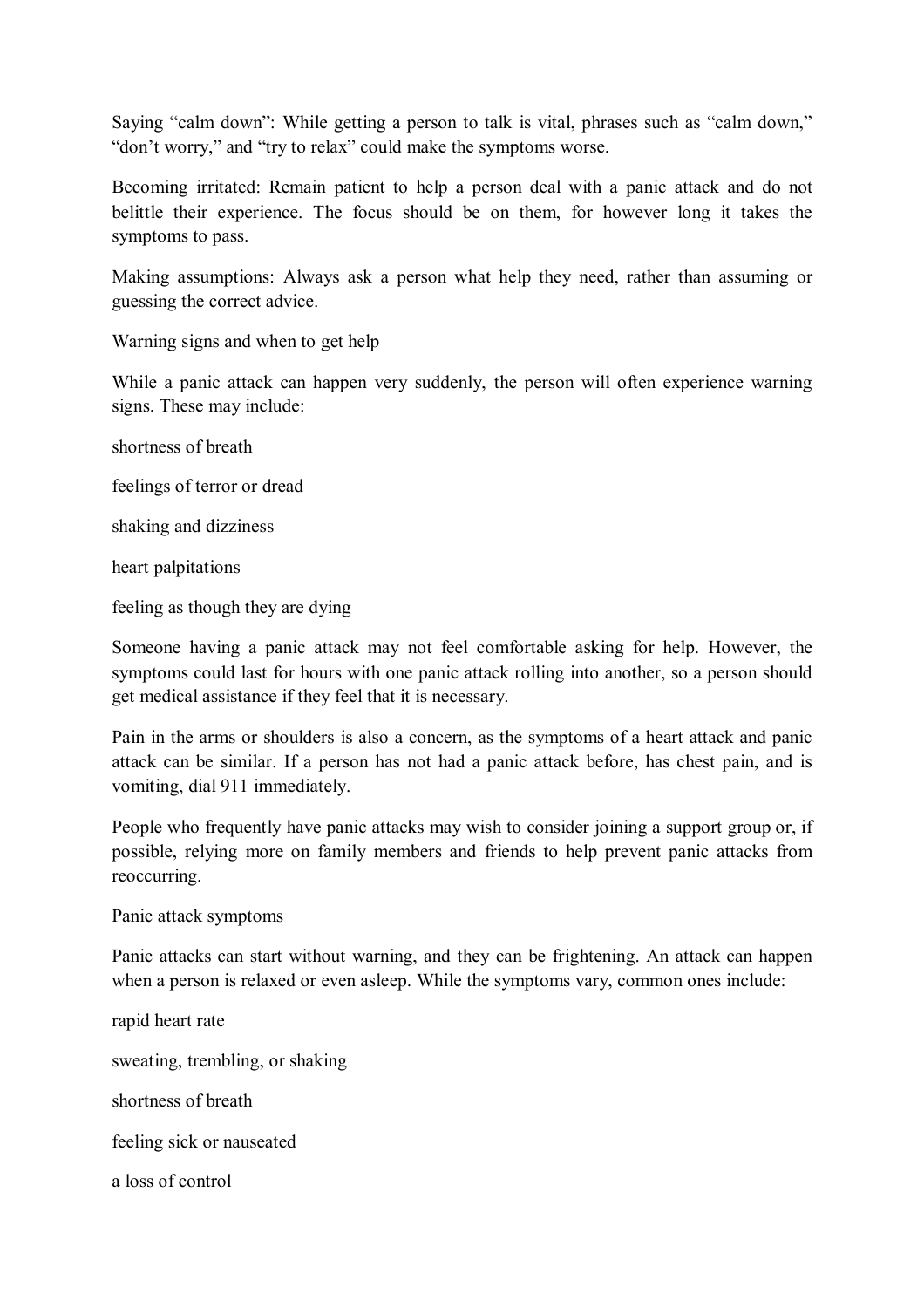Saying "calm down": While getting a person to talk is vital, phrases such as "calm down," "don't worry," and "try to relax" could make the symptoms worse.

Becoming irritated: Remain patient to help a person deal with a panic attack and do not belittle their experience. The focus should be on them, for however long it takes the symptoms to pass.

Making assumptions: Always ask a person what help they need, rather than assuming or guessing the correct advice.

Warning signs and when to get help

While a panic attack can happen very suddenly, the person will often experience warning signs. These may include:

shortness of breath

feelings of terror or dread

shaking and dizziness

heart palpitations

feeling as though they are dying

Someone having a panic attack may not feel comfortable asking for help. However, the symptoms could last for hours with one panic attack rolling into another, so a person should get medical assistance if they feel that it is necessary.

Pain in the arms or shoulders is also a concern, as the symptoms of a heart attack and panic attack can be similar. If a person has not had a panic attack before, has chest pain, and is vomiting, dial 911 immediately.

People who frequently have panic attacks may wish to consider joining a support group or, if possible, relying more on family members and friends to help prevent panic attacks from reoccurring.

Panic attack symptoms

Panic attacks can start without warning, and they can be frightening. An attack can happen when a person is relaxed or even asleep. While the symptoms vary, common ones include:

rapid heart rate sweating, trembling, or shaking shortness of breath feeling sick or nauseated a loss of control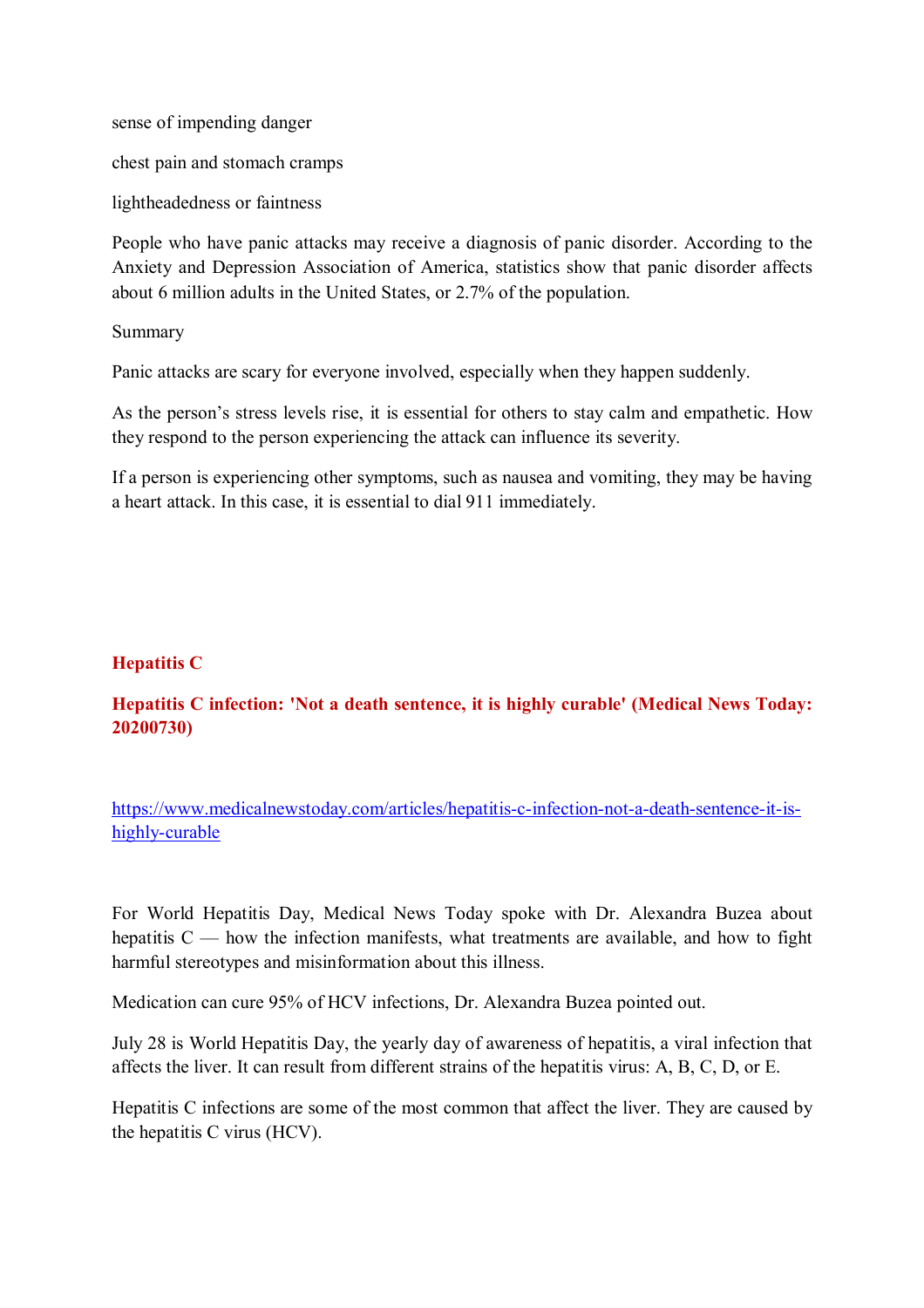sense of impending danger

chest pain and stomach cramps

lightheadedness or faintness

People who have panic attacks may receive a diagnosis of panic disorder. According to the Anxiety and Depression Association of America, statistics show that panic disorder affects about 6 million adults in the United States, or 2.7% of the population.

Summary

Panic attacks are scary for everyone involved, especially when they happen suddenly.

As the person's stress levels rise, it is essential for others to stay calm and empathetic. How they respond to the person experiencing the attack can influence its severity.

If a person is experiencing other symptoms, such as nausea and vomiting, they may be having a heart attack. In this case, it is essential to dial 911 immediately.

## **Hepatitis C**

# **Hepatitis C infection: 'Not a death sentence, it is highly curable' (Medical News Today: 20200730)**

https://www.medicalnewstoday.com/articles/hepatitis-c-infection-not-a-death-sentence-it-ishighly-curable

For World Hepatitis Day, Medical News Today spoke with Dr. Alexandra Buzea about hepatitis  $C$  — how the infection manifests, what treatments are available, and how to fight harmful stereotypes and misinformation about this illness.

Medication can cure 95% of HCV infections, Dr. Alexandra Buzea pointed out.

July 28 is World Hepatitis Day, the yearly day of awareness of hepatitis, a viral infection that affects the liver. It can result from different strains of the hepatitis virus: A, B, C, D, or E.

Hepatitis C infections are some of the most common that affect the liver. They are caused by the hepatitis C virus (HCV).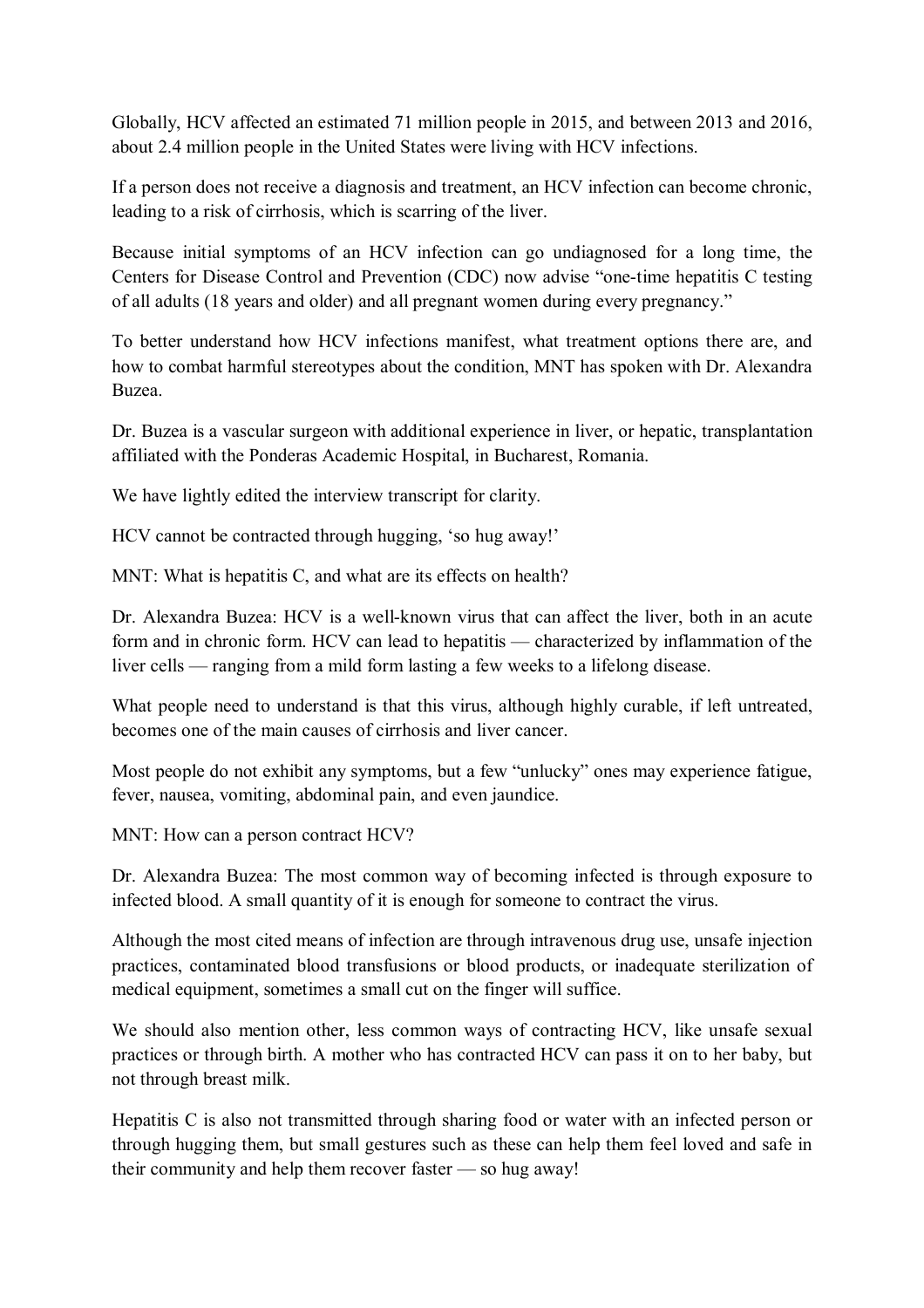Globally, HCV affected an estimated 71 million people in 2015, and between 2013 and 2016, about 2.4 million people in the United States were living with HCV infections.

If a person does not receive a diagnosis and treatment, an HCV infection can become chronic, leading to a risk of cirrhosis, which is scarring of the liver.

Because initial symptoms of an HCV infection can go undiagnosed for a long time, the Centers for Disease Control and Prevention (CDC) now advise "one-time hepatitis C testing of all adults (18 years and older) and all pregnant women during every pregnancy."

To better understand how HCV infections manifest, what treatment options there are, and how to combat harmful stereotypes about the condition, MNT has spoken with Dr. Alexandra Buzea.

Dr. Buzea is a vascular surgeon with additional experience in liver, or hepatic, transplantation affiliated with the Ponderas Academic Hospital, in Bucharest, Romania.

We have lightly edited the interview transcript for clarity.

HCV cannot be contracted through hugging, 'so hug away!'

MNT: What is hepatitis C, and what are its effects on health?

Dr. Alexandra Buzea: HCV is a well-known virus that can affect the liver, both in an acute form and in chronic form. HCV can lead to hepatitis — characterized by inflammation of the liver cells — ranging from a mild form lasting a few weeks to a lifelong disease.

What people need to understand is that this virus, although highly curable, if left untreated, becomes one of the main causes of cirrhosis and liver cancer.

Most people do not exhibit any symptoms, but a few "unlucky" ones may experience fatigue, fever, nausea, vomiting, abdominal pain, and even jaundice.

MNT: How can a person contract HCV?

Dr. Alexandra Buzea: The most common way of becoming infected is through exposure to infected blood. A small quantity of it is enough for someone to contract the virus.

Although the most cited means of infection are through intravenous drug use, unsafe injection practices, contaminated blood transfusions or blood products, or inadequate sterilization of medical equipment, sometimes a small cut on the finger will suffice.

We should also mention other, less common ways of contracting HCV, like unsafe sexual practices or through birth. A mother who has contracted HCV can pass it on to her baby, but not through breast milk.

Hepatitis C is also not transmitted through sharing food or water with an infected person or through hugging them, but small gestures such as these can help them feel loved and safe in their community and help them recover faster — so hug away!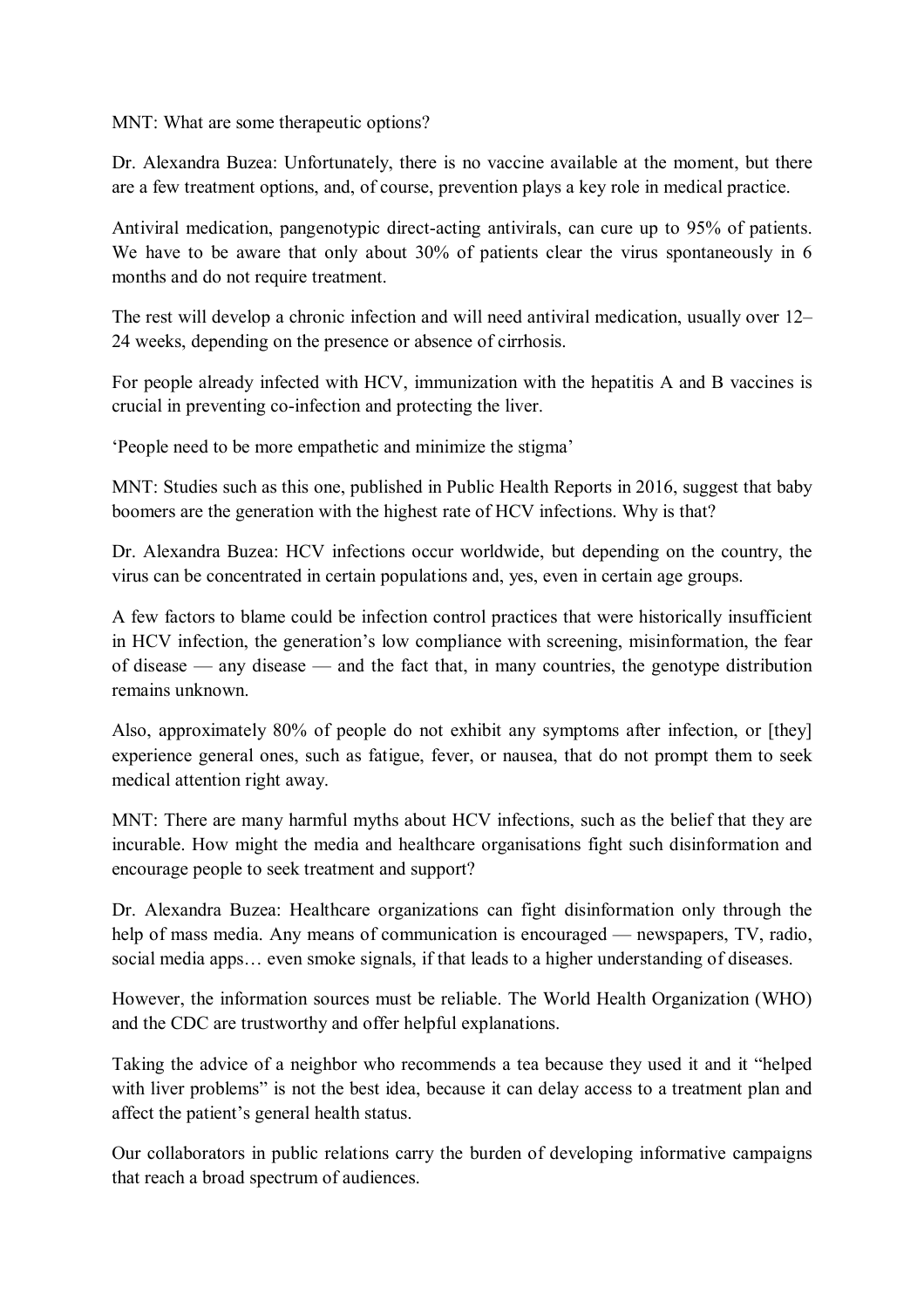MNT: What are some therapeutic options?

Dr. Alexandra Buzea: Unfortunately, there is no vaccine available at the moment, but there are a few treatment options, and, of course, prevention plays a key role in medical practice.

Antiviral medication, pangenotypic direct-acting antivirals, can cure up to 95% of patients. We have to be aware that only about 30% of patients clear the virus spontaneously in 6 months and do not require treatment.

The rest will develop a chronic infection and will need antiviral medication, usually over 12– 24 weeks, depending on the presence or absence of cirrhosis.

For people already infected with HCV, immunization with the hepatitis A and B vaccines is crucial in preventing co-infection and protecting the liver.

'People need to be more empathetic and minimize the stigma'

MNT: Studies such as this one, published in Public Health Reports in 2016, suggest that baby boomers are the generation with the highest rate of HCV infections. Why is that?

Dr. Alexandra Buzea: HCV infections occur worldwide, but depending on the country, the virus can be concentrated in certain populations and, yes, even in certain age groups.

A few factors to blame could be infection control practices that were historically insufficient in HCV infection, the generation's low compliance with screening, misinformation, the fear of disease — any disease — and the fact that, in many countries, the genotype distribution remains unknown.

Also, approximately 80% of people do not exhibit any symptoms after infection, or [they] experience general ones, such as fatigue, fever, or nausea, that do not prompt them to seek medical attention right away.

MNT: There are many harmful myths about HCV infections, such as the belief that they are incurable. How might the media and healthcare organisations fight such disinformation and encourage people to seek treatment and support?

Dr. Alexandra Buzea: Healthcare organizations can fight disinformation only through the help of mass media. Any means of communication is encouraged — newspapers, TV, radio, social media apps… even smoke signals, if that leads to a higher understanding of diseases.

However, the information sources must be reliable. The World Health Organization (WHO) and the CDC are trustworthy and offer helpful explanations.

Taking the advice of a neighbor who recommends a tea because they used it and it "helped with liver problems" is not the best idea, because it can delay access to a treatment plan and affect the patient's general health status.

Our collaborators in public relations carry the burden of developing informative campaigns that reach a broad spectrum of audiences.